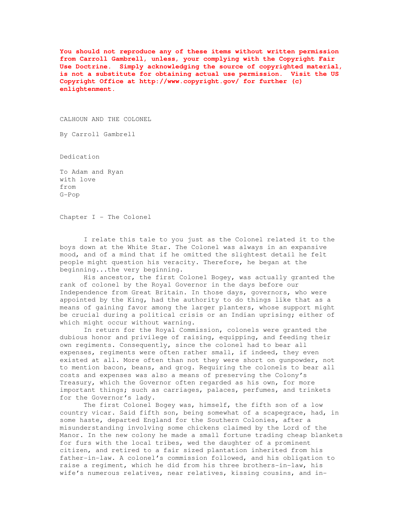**You should not reproduce any of these items without written permission from Carroll Gambrell, unless, your complying with the Copyright Fair Use Doctrine. Simply acknowledging the source of copyrighted material, is not a substitute for obtaining actual use permission. Visit the US Copyright Office at http://www.copyright.gov/ for further (c) enlightenment.** 

CALHOUN AND THE COLONEL

By Carroll Gambrell

Dedication

To Adam and Ryan with love from G-Pop

Chapter I - The Colonel

 I relate this tale to you just as the Colonel related it to the boys down at the White Star. The Colonel was always in an expansive mood, and of a mind that if he omitted the slightest detail he felt people might question his veracity. Therefore, he began at the beginning...the very beginning.

 His ancestor, the first Colonel Bogey, was actually granted the rank of colonel by the Royal Governor in the days before our Independence from Great Britain. In those days, governors, who were appointed by the King, had the authority to do things like that as a means of gaining favor among the larger planters, whose support might be crucial during a political crisis or an Indian uprising; either of which might occur without warning.

 In return for the Royal Commission, colonels were granted the dubious honor and privilege of raising, equipping, and feeding their own regiments. Consequently, since the colonel had to bear all expenses, regiments were often rather small, if indeed, they even existed at all. More often than not they were short on gunpowder, not to mention bacon, beans, and grog. Requiring the colonels to bear all costs and expenses was also a means of preserving the Colony's Treasury, which the Governor often regarded as his own, for more important things; such as carriages, palaces, perfumes, and trinkets for the Governor's lady.

 The first Colonel Bogey was, himself, the fifth son of a low country vicar. Said fifth son, being somewhat of a scapegrace, had, in some haste, departed England for the Southern Colonies, after a misunderstanding involving some chickens claimed by the Lord of the Manor. In the new colony he made a small fortune trading cheap blankets for furs with the local tribes, wed the daughter of a prominent citizen, and retired to a fair sized plantation inherited from his father-in-law. A colonel's commission followed, and his obligation to raise a regiment, which he did from his three brothers-in-law, his wife's numerous relatives, near relatives, kissing cousins, and in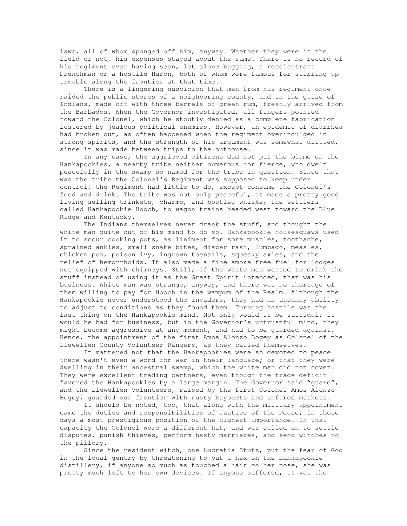laws, all of whom sponged off him, anyway. Whether they were in the field or not, his expenses stayed about the same. There is no record of his regiment ever having seen, let alone bagging, a recalcitrant Frenchman or a hostile Huron, both of whom were famous for stirring up trouble along the frontier at that time.

 There is a lingering suspicion that men from his regiment once raided the public stores of a neighboring county, and in the guise of Indians, made off with three barrels of green rum, freshly arrived from the Barbados. When the Governor investigated, all fingers pointed toward the Colonel, which he stoutly denied as a complete fabrication fostered by jealous political enemies. However, an epidemic of diarrhea had broken out, as often happened when the regiment overindulged in strong spirits, and the strength of his argument was somewhat diluted, since it was made between trips to the outhouse.

 In any case, the aggrieved citizens did not put the blame on the Hankapookies, a nearby tribe neither numerous nor fierce, who dwelt peacefully in the swamp so named for the tribe in question. Since that was the tribe the Colonel's Regiment was supposed to keep under control, the Regiment had little to do, except consume the Colonel's food and drink. The tribe was not only peaceful, it made a pretty good living selling trinkets, charms, and bootleg whiskey the settlers called Hankapookie Hooch, to wagon trains headed west toward the Blue Ridge and Kentucky.

 The Indians themselves never drank the stuff, and thought the white man quite out of his mind to do so. Hankapookie housesquaws used it to scour cooking pots, as liniment for sore muscles, toothache, sprained ankles, small snake bites, diaper rash, lumbago, measles, chicken pox, poison ivy, ingrown toenails, squeaky axles, and the relief of hemorrhoids. It also made a fine smoke free fuel for lodges not equipped with chimneys. Still, if the white man wanted to drink the stuff instead of using it as the Great Spirit intended, that was his business. White man was strange, anyway, and there was no shortage of them willing to pay for Hooch in the wampum of the Realm. Although the Hankapookie never understood the invaders, they had an uncanny ability to adjust to conditions as they found them. Turning hostile was the last thing on the Hankapookie mind. Not only would it be suicidal, it would be bad for business, but in the Governor's untrustful mind, they might become aggressive at any moment, and had to be guarded against. Hence, the appointment of the first Amos Alonzo Bogey as Colonel of the Llewellen County Volunteer Rangers, as they called themselves.

 It mattered not that the Hankapookies were so devoted to peace there wasn't even a word for war in their language; or that they were dwelling in their ancestral swamp, which the white man did not covet. They were excellent trading partners, even though the trade deficit favored the Hankapookies by a large margin. The Governor said "guard", and the Llewellen Volunteers, raised by the first Colonel Amos Alonzo Bogey, guarded our frontier with rusty bayonets and unfired muskets.

 It should be noted, too, that along with the military appointment came the duties and responsibilities of Justice of the Peace, in those days a most prestigious position of the highest importance. In that capacity the Colonel wore a different hat, and was called on to settle disputes, punish thieves, perform hasty marriages, and send witches to the pillory.

 Since the resident witch, one Lucretia Stutz, put the fear of God in the local gentry by threatening to put a hex on the Hankapookie distillery, if anyone so much as touched a hair on her nose, she was pretty much left to her own devices. If anyone suffered, it was the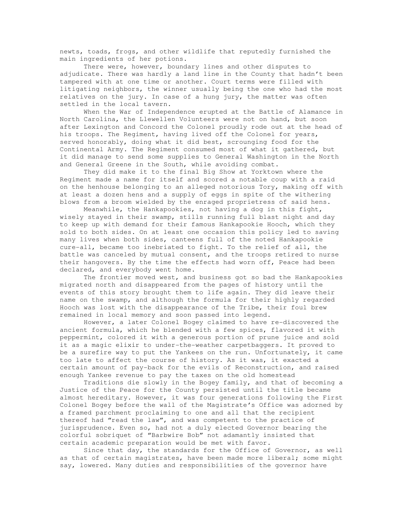newts, toads, frogs, and other wildlife that reputedly furnished the main ingredients of her potions.

 There were, however, boundary lines and other disputes to adjudicate. There was hardly a land line in the County that hadn't been tampered with at one time or another. Court terms were filled with litigating neighbors, the winner usually being the one who had the most relatives on the jury. In case of a hung jury, the matter was often settled in the local tavern.

 When the War of Independence erupted at the Battle of Alamance in North Carolina, the Llewellen Volunteers were not on hand, but soon after Lexington and Concord the Colonel proudly rode out at the head of his troops. The Regiment, having lived off the Colonel for years, served honorably, doing what it did best, scrounging food for the Continental Army. The Regiment consumed most of what it gathered, but it did manage to send some supplies to General Washington in the North and General Greene in the South, while avoiding combat.

 They did make it to the final Big Show at Yorktown where the Regiment made a name for itself and scored a notable coup with a raid on the henhouse belonging to an alleged notorious Tory, making off with at least a dozen hens and a supply of eggs in spite of the withering blows from a broom wielded by the enraged proprietress of said hens.

 Meanwhile, the Hankapookies, not having a dog in this fight, wisely stayed in their swamp, stills running full blast night and day to keep up with demand for their famous Hankapookie Hooch, which they sold to both sides. On at least one occasion this policy led to saving many lives when both sides, canteens full of the noted Hankapookie cure-all, became too inebriated to fight. To the relief of all, the battle was canceled by mutual consent, and the troops retired to nurse their hangovers. By the time the effects had worn off, Peace had been declared, and everybody went home.

 The frontier moved west, and business got so bad the Hankapookies migrated north and disappeared from the pages of history until the events of this story brought them to life again. They did leave their name on the swamp, and although the formula for their highly regarded Hooch was lost with the disappearance of the Tribe, their foul brew remained in local memory and soon passed into legend.

 However, a later Colonel Bogey claimed to have re-discovered the ancient formula, which he blended with a few spices, flavored it with peppermint, colored it with a generous portion of prune juice and sold it as a magic elixir to under-the-weather carpetbaggers. It proved to be a surefire way to put the Yankees on the run. Unfortunately, it came too late to affect the course of history. As it was, it exacted a certain amount of pay-back for the evils of Reconstruction, and raised enough Yankee revenue to pay the taxes on the old homestead

 Traditions die slowly in the Bogey family, and that of becoming a Justice of the Peace for the County persisted until the title became almost hereditary. However, it was four generations following the First Colonel Bogey before the wall of the Magistrate's Office was adorned by a framed parchment proclaiming to one and all that the recipient thereof had "read the law", and was competent to the practice of jurisprudence. Even so, had not a duly elected Governor bearing the colorful sobriquet of "Barbwire Bob" not adamantly insisted that certain academic preparation would be met with favor.

 Since that day, the standards for the Office of Governor, as well as that of certain magistrates, have been made more liberal; some might say, lowered. Many duties and responsibilities of the governor have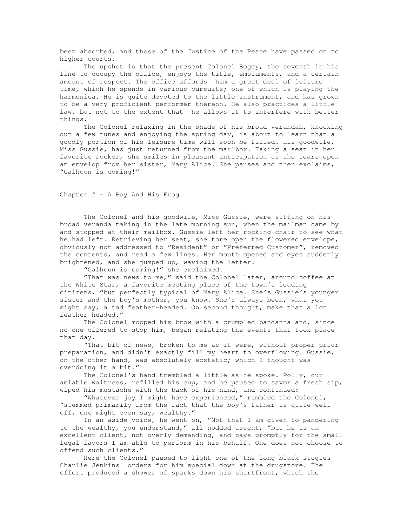been absorbed, and those of the Justice of the Peace have passed on to higher courts.

 The upshot is that the present Colonel Bogey, the seventh in his line to occupy the office, enjoys the title, emoluments, and a certain amount of respect. The office affords him a great deal of leisure time, which he spends in various pursuits; one of which is playing the harmonica. He is quite devoted to the little instrument, and has grown to be a very proficient performer thereon. He also practices a little law, but not to the extent that he allows it to interfere with better things.

 The Colonel relaxing in the shade of his broad verandah, knocking out a few tunes and enjoying the spring day, is about to learn that a goodly portion of his leisure time will soon be filled. His goodwife, Miss Gussie, has just returned from the mailbox. Taking a seat in her favorite rocker, she smiles in pleasant anticipation as she tears open an envelop from her sister, Mary Alice. She pauses and then exclaims, "Calhoun is coming!"

## Chapter 2 - A Boy And His Frog

 The Colonel and his goodwife, Miss Gussie, were sitting on his broad veranda taking in the late morning sun, when the mailman came by and stopped at their mailbox. Gussie left her rocking chair to see what he had left. Retrieving her seat, she tore open the flowered envelope, obviously not addressed to "Resident" or "Preferred Customer", removed the contents, and read a few lines. Her mouth opened and eyes suddenly brightened, and she jumped up, waving the letter.

"Calhoun is coming!" she exclaimed.

 "That was news to me," said the Colonel later, around coffee at the White Star, a favorite meeting place of the town's leading citizens, "but perfectly typical of Mary Alice. She's Gussie's younger sister and the boy's mother, you know. She's always been, what you might say, a tad feather-headed. On second thought, make that a lot feather-headed."

 The Colonel mopped his brow with a crumpled bandanna and, since no one offered to stop him, began relating the events that took place that day.

 "That bit of news, broken to me as it were, without proper prior preparation, and didn't exactly fill my heart to overflowing. Gussie, on the other hand, was absolutely ecstatic; which I thought was overdoing it a bit."

 The Colonel's hand trembled a little as he spoke. Polly, our amiable waitress, refilled his cup, and he paused to savor a fresh sip, wiped his mustache with the back of his hand, and continued:

 "Whatever joy I might have experienced," rumbled the Colonel, "stemmed primarily from the fact that the boy's father is quite well off, one might even say, wealthy."

 In an aside voice, he went on, "Not that I am given to pandering to the wealthy, you understand," all nodded assent, "but he is an excellent client, not overly demanding, and pays promptly for the small legal favors I am able to perform in his behalf. One does not choose to offend such clients."

 Here the Colonel paused to light one of the long black stogies Charlie Jenkins orders for him special down at the drugstore. The effort produced a shower of sparks down his shirtfront, which the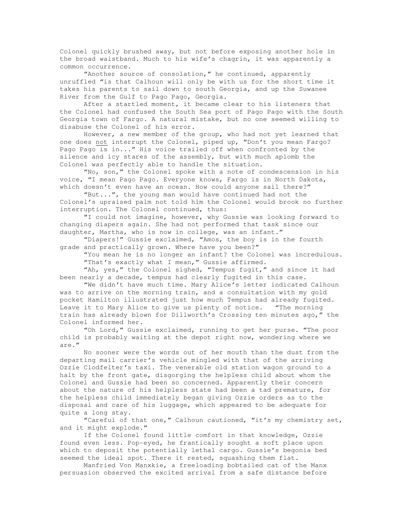Colonel quickly brushed away, but not before exposing another hole in the broad waistband. Much to his wife's chagrin, it was apparently a common occurrence.

 "Another source of consolation," he continued, apparently unruffled "is that Calhoun will only be with us for the short time it takes his parents to sail down to south Georgia, and up the Suwanee River from the Gulf to Pago Pago, Georgia.

 After a startled moment, it became clear to his listeners that the Colonel had confused the South Sea port of Pago Pago with the South Georgia town of Fargo. A natural mistake, but no one seemed willing to disabuse the Colonel of his error.

 However, a new member of the group, who had not yet learned that one does not interrupt the Colonel, piped up, "Don't you mean Fargo? Pago Pago is in..." His voice trailed off when confronted by the silence and icy stares of the assembly, but with much aplomb the Colonel was perfectly able to handle the situation.

 "No, son," the Colonel spoke with a note of condescension in his voice, "I mean Pago Pago. Everyone knows, Fargo is in North Dakota, which doesn't even have an ocean. How could anyone sail there?"

 "But...", the young man would have continued had not the Colonel's upraised palm not told him the Colonel would brook no further interruption. The Colonel continued, thus:

 "I could not imagine, however, why Gussie was looking forward to changing diapers again. She had not performed that task since our daughter, Martha, who is now in college, was an infant."

 "Diapers!" Gussie exclaimed, "Amos, the boy is in the fourth grade and practically grown. Where have you been?"

 "You mean he is no longer an infant? the Colonel was incredulous. "That's exactly what I mean," Gussie affirmed.

 "Ah, yes," the Colonel sighed, "Tempus fugit," and since it had been nearly a decade, tempus had clearly fugited in this case.

 "We didn't have much time. Mary Alice's letter indicated Calhoun was to arrive on the morning train, and a consultation with my gold pocket Hamilton illustrated just how much Tempus had already fugited. Leave it to Mary Alice to give us plenty of notice. "The morning train has already blown for Dillworth's Crossing ten minutes ago," the Colonel informed her.

 "Oh Lord," Gussie exclaimed, running to get her purse. "The poor child is probably waiting at the depot right now, wondering where we are."

 No sooner were the words out of her mouth than the dust from the departing mail carrier's vehicle mingled with that of the arriving Ozzie Clodfelter's taxi. The venerable old station wagon ground to a halt by the front gate, disgorging the helpless child about whom the Colonel and Gussie had been so concerned. Apparently their concern about the nature of his helpless state had been a tad premature, for the helpless child immediately began giving Ozzie orders as to the disposal and care of his luggage, which appeared to be adequate for quite a long stay.

"Careful of that one," Calhoun cautioned, "it's my chemistry set, and it might explode."

 If the Colonel found little comfort in that knowledge, Ozzie found even less. Pop-eyed, he frantically sought a soft place upon which to deposit the potentially lethal cargo. Gussie's begonia bed seemed the ideal spot. There it rested, squashing them flat.

 Manfried Von Manxkie, a freeloading bobtailed cat of the Manx persuasion observed the excited arrival from a safe distance before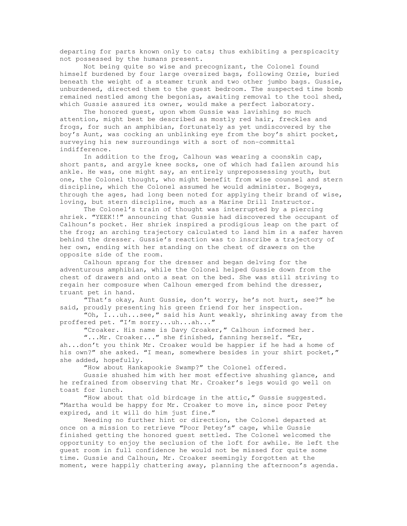departing for parts known only to cats; thus exhibiting a perspicacity not possessed by the humans present.

 Not being quite so wise and precognizant, the Colonel found himself burdened by four large oversized bags, following Ozzie, buried beneath the weight of a steamer trunk and two other jumbo bags. Gussie, unburdened, directed them to the guest bedroom. The suspected time bomb remained nestled among the begonias, awaiting removal to the tool shed, which Gussie assured its owner, would make a perfect laboratory.

 The honored guest, upon whom Gussie was lavishing so much attention, might best be described as mostly red hair, freckles and frogs, for such an amphibian, fortunately as yet undiscovered by the boy's Aunt, was cocking an unblinking eye from the boy's shirt pocket, surveying his new surroundings with a sort of non-committal indifference.

 In addition to the frog, Calhoun was wearing a coonskin cap, short pants, and argyle knee socks, one of which had fallen around his ankle. He was, one might say, an entirely unprepossessing youth, but one, the Colonel thought, who might benefit from wise counsel and stern discipline, which the Colonel assumed he would administer. Bogeys, through the ages, had long been noted for applying their brand of wise, loving, but stern discipline, much as a Marine Drill Instructor.

 The Colonel's train of thought was interrupted by a piercing shriek. "YEEK!!" announcing that Gussie had discovered the occupant of Calhoun's pocket. Her shriek inspired a prodigious leap on the part of the frog; an arching trajectory calculated to land him in a safer haven behind the dresser. Gussie's reaction was to inscribe a trajectory of her own, ending with her standing on the chest of drawers on the opposite side of the room.

 Calhoun sprang for the dresser and began delving for the adventurous amphibian, while the Colonel helped Gussie down from the chest of drawers and onto a seat on the bed. She was still striving to regain her composure when Calhoun emerged from behind the dresser, truant pet in hand.

 "That's okay, Aunt Gussie, don't worry, he's not hurt, see?" he said, proudly presenting his green friend for her inspection.

 "Oh, I...uh...see," said his Aunt weakly, shrinking away from the proffered pet. "I'm sorry...uh...ah..."

"Croaker. His name is Davy Croaker," Calhoun informed her.

 "...Mr. Croaker..." she finished, fanning herself. "Er, ah...don't you think Mr. Croaker would be happier if he had a home of his own?" she asked. "I mean, somewhere besides in your shirt pocket," she added, hopefully.

"How about Hankapookie Swamp?" the Colonel offered.

 Gussie shushed him with her most effective shushing glance, and he refrained from observing that Mr. Croaker's legs would go well on toast for lunch.

 "How about that old birdcage in the attic," Gussie suggested. "Martha would be happy for Mr. Croaker to move in, since poor Petey expired, and it will do him just fine."

 Needing no further hint or direction, the Colonel departed at once on a mission to retrieve "Poor Petey's" cage, while Gussie finished getting the honored guest settled. The Colonel welcomed the opportunity to enjoy the seclusion of the loft for awhile. He left the guest room in full confidence he would not be missed for quite some time. Gussie and Calhoun, Mr. Croaker seemingly forgotten at the moment, were happily chattering away, planning the afternoon's agenda.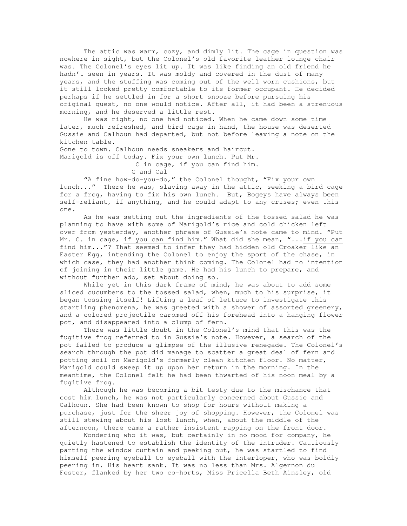The attic was warm, cozy, and dimly lit. The cage in question was nowhere in sight, but the Colonel's old favorite leather lounge chair was. The Colonel's eyes lit up. It was like finding an old friend he hadn't seen in years. It was moldy and covered in the dust of many years, and the stuffing was coming out of the well worn cushions, but it still looked pretty comfortable to its former occupant. He decided perhaps if he settled in for a short snooze before pursuing his original quest, no one would notice. After all, it had been a strenuous morning, and he deserved a little rest.

 He was right, no one had noticed. When he came down some time later, much refreshed, and bird cage in hand, the house was deserted Gussie and Calhoun had departed, but not before leaving a note on the kitchen table.

Gone to town. Calhoun needs sneakers and haircut. Marigold is off today. Fix your own lunch. Put Mr.

C in cage, if you can find him.

G and Cal

 "A fine how-do-you-do," the Colonel thought, "Fix your own lunch..." There he was, slaving away in the attic, seeking a bird cage for a frog, having to fix his own lunch. But, Bogeys have always been self-reliant, if anything, and he could adapt to any crises; even this one.

 As he was setting out the ingredients of the tossed salad he was planning to have with some of Marigold's rice and cold chicken left over from yesterday, another phrase of Gussie's note came to mind. "Put Mr. C. in cage, if you can find him." What did she mean, "...if you can find him..."? That seemed to infer they had hidden old Croaker like an Easter Egg, intending the Colonel to enjoy the sport of the chase, in which case, they had another think coming. The Colonel had no intention of joining in their little game. He had his lunch to prepare, and without further ado, set about doing so.

While yet in this dark frame of mind, he was about to add some sliced cucumbers to the tossed salad, when, much to his surprise, it began tossing itself! Lifting a leaf of lettuce to investigate this startling phenomena, he was greeted with a shower of assorted greenery, and a colored projectile caromed off his forehead into a hanging flower pot, and disappeared into a clump of fern.

 There was little doubt in the Colonel's mind that this was the fugitive frog referred to in Gussie's note. However, a search of the pot failed to produce a glimpse of the illusive renegade. The Colonel's search through the pot did manage to scatter a great deal of fern and potting soil on Marigold's formerly clean kitchen floor. No matter, Marigold could sweep it up upon her return in the morning. In the meantime, the Colonel felt he had been thwarted of his noon meal by a fugitive frog.

 Although he was becoming a bit testy due to the mischance that cost him lunch, he was not particularly concerned about Gussie and Calhoun. She had been known to shop for hours without making a purchase, just for the sheer joy of shopping. However, the Colonel was still stewing about his lost lunch, when, about the middle of the afternoon, there came a rather insistent rapping on the front door.

 Wondering who it was, but certainly in no mood for company, he quietly hastened to establish the identity of the intruder. Cautiously parting the window curtain and peeking out, he was startled to find himself peering eyeball to eyeball with the interloper, who was boldly peering in. His heart sank. It was no less than Mrs. Algernon du Fester, flanked by her two co-horts, Miss Pricella Beth Ainsley, old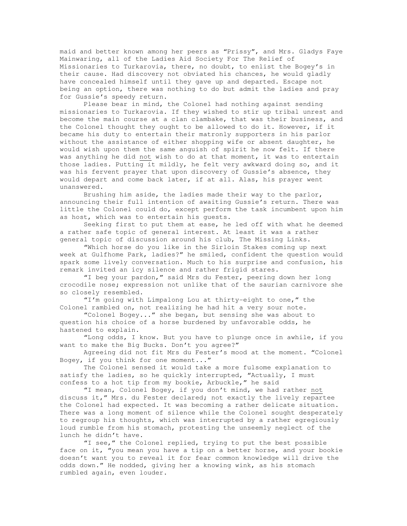maid and better known among her peers as "Prissy", and Mrs. Gladys Faye Mainwaring, all of the Ladies Aid Society For The Relief of Missionaries to Turkarovia, there, no doubt, to enlist the Bogey's in their cause. Had discovery not obviated his chances, he would gladly have concealed himself until they gave up and departed. Escape not being an option, there was nothing to do but admit the ladies and pray for Gussie's speedy return.

 Please bear in mind, the Colonel had nothing against sending missionaries to Turkarovia. If they wished to stir up tribal unrest and become the main course at a clan clambake, that was their business, and the Colonel thought they ought to be allowed to do it. However, if it became his duty to entertain their matronly supporters in his parlor without the assistance of either shopping wife or absent daughter, he would wish upon them the same anguish of spirit he now felt. If there was anything he did not wish to do at that moment, it was to entertain those ladies. Putting it mildly, he felt very awkward doing so, and it was his fervent prayer that upon discovery of Gussie's absence, they would depart and come back later, if at all. Alas, his prayer went unanswered.

 Brushing him aside, the ladies made their way to the parlor, announcing their full intention of awaiting Gussie's return. There was little the Colonel could do, except perform the task incumbent upon him as host, which was to entertain his guests.

 Seeking first to put them at ease, he led off with what he deemed a rather safe topic of general interest. At least it was a rather general topic of discussion around his club, The Missing Links.

 "Which horse do you like in the Sirloin Stakes coming up next week at Gulfhome Park, ladies?" he smiled, confident the question would spark some lively conversation. Much to his surprise and confusion, his remark invited an icy silence and rather frigid stares.

 "I beg your pardon," said Mrs du Fester, peering down her long crocodile nose; expression not unlike that of the saurian carnivore she so closely resembled.

 "I'm going with Limpalong Lou at thirty-eight to one," the Colonel rambled on, not realizing he had hit a very sour note.

 "Colonel Bogey..." she began, but sensing she was about to question his choice of a horse burdened by unfavorable odds, he hastened to explain.

 "Long odds, I know. But you have to plunge once in awhile, if you want to make the Big Bucks. Don't you agree?"

 Agreeing did not fit Mrs du Fester's mood at the moment. "Colonel Bogey, if you think for one moment..."

 The Colonel sensed it would take a more fulsome explanation to satisfy the ladies, so he quickly interrupted, "Actually, I must confess to a hot tip from my bookie, Arbuckle," he said

 "I mean, Colonel Bogey, if you don't mind, we had rather not discuss it," Mrs. du Fester declared; not exactly the lively repartee the Colonel had expected. It was becoming a rather delicate situation. There was a long moment of silence while the Colonel sought desperately to regroup his thoughts, which was interrupted by a rather egregiously loud rumble from his stomach, protesting the unseemly neglect of the lunch he didn't have.

 "I see," the Colonel replied, trying to put the best possible face on it, "you mean you have a tip on a better horse, and your bookie doesn't want you to reveal it for fear common knowledge will drive the odds down." He nodded, giving her a knowing wink, as his stomach rumbled again, even louder.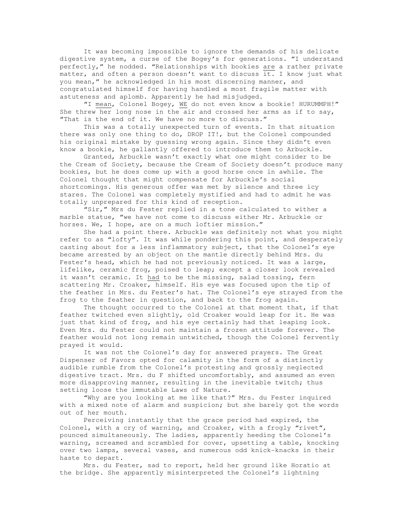It was becoming impossible to ignore the demands of his delicate digestive system, a curse of the Bogey's for generations. "I understand perfectly," he nodded. "Relationships with bookies are a rather private matter, and often a person doesn't want to discuss it. I know just what you mean," he acknowledged in his most discerning manner, and congratulated himself for having handled a most fragile matter with astuteness and aplomb. Apparently he had misjudged.

 "I mean, Colonel Bogey, WE do not even know a bookie! HURUMMPH!" She threw her long nose in the air and crossed her arms as if to say, "That is the end of it. We have no more to discuss."

 This was a totally unexpected turn of events. In that situation there was only one thing to do, DROP IT!, but the Colonel compounded his original mistake by guessing wrong again. Since they didn't even know a bookie, he gallantly offered to introduce them to Arbuckle.

 Granted, Arbuckle wasn't exactly what one might consider to be the Cream of Society, because the Cream of Society doesn't produce many bookies, but he does come up with a good horse once in awhile. The Colonel thought that might compensate for Arbuckle's social shortcomings. His generous offer was met by silence and three icy stares. The Colonel was completely mystified and had to admit he was totally unprepared for this kind of reception.

 "Sir," Mrs du Fester replied in a tone calculated to wither a marble statue, "we have not come to discuss either Mr. Arbuckle or horses. We, I hope, are on a much loftier mission."

 She had a point there. Arbuckle was definitely not what you might refer to as "lofty". It was while pondering this point, and desperately casting about for a less inflammatory subject, that the Colonel's eye became arrested by an object on the mantle directly behind Mrs. du Fester's head, which he had not previously noticed. It was a large, lifelike, ceramic frog, poised to leap; except a closer look revealed it wasn't ceramic. It had to be the missing, salad tossing, fern scattering Mr. Croaker, himself. His eye was focused upon the tip of the feather in Mrs. du Fester's hat. The Colonel's eye strayed from the frog to the feather in question, and back to the frog again.

 The thought occurred to the Colonel at that moment that, if that feather twitched even slightly, old Croaker would leap for it. He was just that kind of frog, and his eye certainly had that leaping look. Even Mrs. du Fester could not maintain a frozen attitude forever. The feather would not long remain untwitched, though the Colonel fervently prayed it would.

 It was not the Colonel's day for answered prayers. The Great Dispenser of Favors opted for calamity in the form of a distinctly audible rumble from the Colonel's protesting and grossly neglected digestive tract. Mrs. du F shifted uncomfortably, and assumed an even more disapproving manner, resulting in the inevitable twitch; thus setting loose the immutable Laws of Nature.

 "Why are you looking at me like that?" Mrs. du Fester inquired with a mixed note of alarm and suspicion; but she barely got the words out of her mouth.

 Perceiving instantly that the grace period had expired, the Colonel, with a cry of warning, and Croaker, with a frogly "rivet", pounced simultaneously. The ladies, apparently heeding the Colonel's warning, screamed and scrambled for cover, upsetting a table, knocking over two lamps, several vases, and numerous odd knick-knacks in their haste to depart.

 Mrs. du Fester, sad to report, held her ground like Horatio at the bridge. She apparently misinterpreted the Colonel's lightning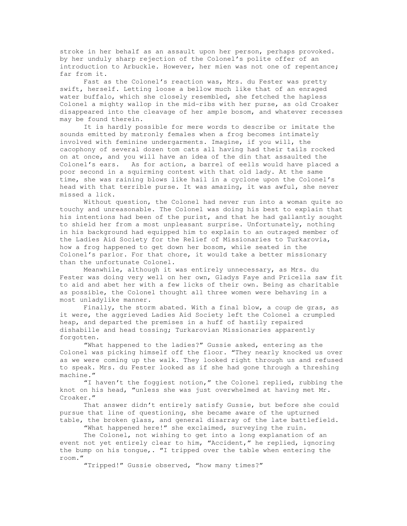stroke in her behalf as an assault upon her person, perhaps provoked. by her unduly sharp rejection of the Colonel's polite offer of an introduction to Arbuckle. However, her mien was not one of repentance; far from it.

 Fast as the Colonel's reaction was, Mrs. du Fester was pretty swift, herself. Letting loose a bellow much like that of an enraged water buffalo, which she closely resembled, she fetched the hapless Colonel a mighty wallop in the mid-ribs with her purse, as old Croaker disappeared into the cleavage of her ample bosom, and whatever recesses may be found therein.

 It is hardly possible for mere words to describe or imitate the sounds emitted by matronly females when a frog becomes intimately involved with feminine undergarments. Imagine, if you will, the cacophony of several dozen tom cats all having had their tails rocked on at once, and you will have an idea of the din that assaulted the Colonel's ears. As for action, a barrel of eells would have placed a poor second in a squirming contest with that old lady. At the same time, she was raining blows like hail in a cyclone upon the Colonel's head with that terrible purse. It was amazing, it was awful, she never missed a lick.

 Without question, the Colonel had never run into a woman quite so touchy and unreasonable. The Colonel was doing his best to explain that his intentions had been of the purist, and that he had gallantly sought to shield her from a most unpleasant surprise. Unfortunately, nothing in his background had equipped him to explain to an outraged member of the Ladies Aid Society for the Relief of Missionaries to Turkarovia, how a frog happened to get down her bosom, while seated in the Colonel's parlor. For that chore, it would take a better missionary than the unfortunate Colonel.

 Meanwhile, although it was entirely unnecessary, as Mrs. du Fester was doing very well on her own, Gladys Faye and Pricella saw fit to aid and abet her with a few licks of their own. Being as charitable as possible, the Colonel thought all three women were behaving in a most unladylike manner.

 Finally, the storm abated. With a final blow, a coup de gras, as it were, the aggrieved Ladies Aid Society left the Colonel a crumpled heap, and departed the premises in a huff of hastily repaired dishabille and head tossing; Turkarovian Missionaries apparently forgotten.

 "What happened to the ladies?" Gussie asked, entering as the Colonel was picking himself off the floor. "They nearly knocked us over as we were coming up the walk. They looked right through us and refused to speak. Mrs. du Fester looked as if she had gone through a threshing machine."

 "I haven't the foggiest notion," the Colonel replied, rubbing the knot on his head, "unless she was just overwhelmed at having met Mr. Croaker."

 That answer didn't entirely satisfy Gussie, but before she could pursue that line of questioning, she became aware of the upturned table, the broken glass, and general disarray of the late battlefield.

"What happened here!" she exclaimed, surveying the ruin.

 The Colonel, not wishing to get into a long explanation of an event not yet entirely clear to him, "Accident," he replied, ignoring the bump on his tongue,. "I tripped over the table when entering the room."

"Tripped!" Gussie observed, "how many times?"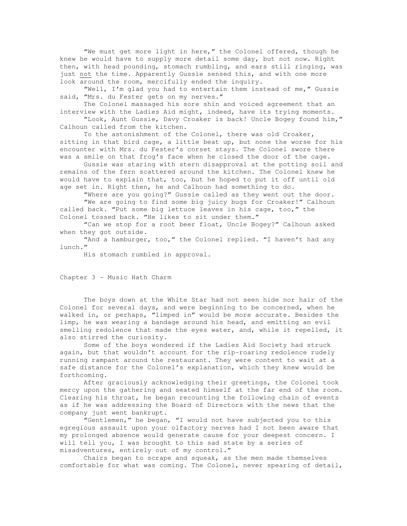"We must get more light in here," the Colonel offered, though he knew he would have to supply more detail some day, but not now. Right then, with head pounding, stomach rumbling, and ears still ringing, was just not the time. Apparently Gussie sensed this, and with one more look around the room, mercifully ended the inquiry.

 "Well, I'm glad you had to entertain them instead of me," Gussie said, "Mrs. du Fester gets on my nerves."

 The Colonel massaged his sore shin and voiced agreement that an interview with the Ladies Aid might, indeed, have its trying moments.

 "Look, Aunt Gussie, Davy Croaker is back! Uncle Bogey found him," Calhoun called from the kitchen.

 To the astonishment of the Colonel, there was old Croaker, sitting in that bird cage, a little beat up, but none the worse for his encounter with Mrs. du Fester's corset stays. The Colonel swore there was a smile on that frog's face when he closed the door of the cage.

 Gussie was staring with stern disapproval at the potting soil and remains of the fern scattered around the kitchen. The Colonel knew he would have to explain that, too, but he hoped to put it off until old age set in. Right then, he and Calhoun had something to do.

 "Where are you going?" Gussie called as they went out the door. "We are going to find some big juicy bugs for Croaker!" Calhoun called back. "Put some big lettuce leaves in his cage, too," the Colonel tossed back. "He likes to sit under them."

 "Can we stop for a root beer float, Uncle Bogey?" Calhoun asked when they got outside.

"And a hamburger, too," the Colonel replied. "I haven't had any lunch."

His stomach rumbled in approval.

Chapter 3 - Music Hath Charm

 The boys down at the White Star had not seen hide nor hair of the Colonel for several days, and were beginning to be concerned, when he walked in, or perhaps, "limped in" would be more accurate. Besides the limp, he was wearing a bandage around his head, and emitting an evil smelling redolence that made the eyes water, and, while it repelled, it also stirred the curiosity.

 Some of the boys wondered if the Ladies Aid Society had struck again, but that wouldn't account for the rip-roaring redolence rudely running rampant around the restaurant. They were content to wait at a safe distance for the Colonel's explanation, which they knew would be forthcoming.

 After graciously acknowledging their greetings, the Colonel took mercy upon the gathering and seated himself at the far end of the room. Clearing his throat, he began recounting the following chain of events as if he was addressing the Board of Directors with the news that the company just went bankrupt.

 "Gentlemen," he began, "I would not have subjected you to this egregious assault upon your olfactory nerves had I not been aware that my prolonged absence would generate cause for your deepest concern. I will tell you, I was brought to this sad state by a series of misadventures, entirely out of my control."

 Chairs began to scrape and squeak, as the men made themselves comfortable for what was coming. The Colonel, never spearing of detail,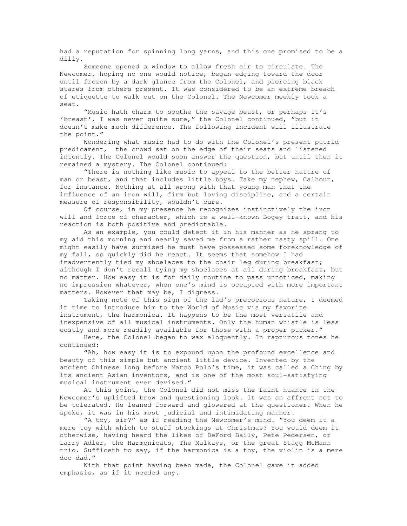had a reputation for spinning long yarns, and this one promised to be a dilly.

 Someone opened a window to allow fresh air to circulate. The Newcomer, hoping no one would notice, began edging toward the door until frozen by a dark glance from the Colonel, and piercing black stares from others present. It was considered to be an extreme breach of etiquette to walk out on the Colonel. The Newcomer meekly took a seat.

 "Music hath charm to soothe the savage beast, or perhaps it's 'breast', I was never quite sure," the Colonel continued, "but it doesn't make much difference. The following incident will illustrate the point."

 Wondering what music had to do with the Colonel's present putrid predicament, the crowd sat on the edge of their seats and listened intently. The Colonel would soon answer the question, but until then it remained a mystery. The Colonel continued:

 "There is nothing like music to appeal to the better nature of man or beast, and that includes little boys. Take my nephew, Calhoun, for instance. Nothing at all wrong with that young man that the influence of an iron will, firm but loving discipline, and a certain measure of responsibility, wouldn't cure.

 Of course, in my presence he recognizes instinctively the iron will and force of character, which is a well-known Bogey trait, and his reaction is both positive and predictable.

 As an example, you could detect it in his manner as he sprang to my aid this morning and nearly saved me from a rather nasty spill. One might easily have surmised he must have possessed some foreknowledge of my fall, so quickly did he react. It seems that somehow I had inadvertently tied my shoelaces to the chair leg during breakfast; although I don't recall tying my shoelaces at all during breakfast, but no matter. How easy it is for daily routine to pass unnoticed, making no impression whatever, when one's mind is occupied with more important matters. However that may be, I digress.

 Taking note of this sign of the lad's precocious nature, I deemed it time to introduce him to the World of Music via my favorite instrument, the harmonica. It happens to be the most versatile and inexpensive of all musical instruments. Only the human whistle is less costly and more readily available for those with a proper pucker."

 Here, the Colonel began to wax eloquently. In rapturous tones he continued:

 "Ah, how easy it is to expound upon the profound excellence and beauty of this simple but ancient little device. Invented by the ancient Chinese long before Marco Polo's time, it was called a Ching by its ancient Asian inventors, and is one of the most soul-satisfying musical instrument ever devised."

 At this point, the Colonel did not miss the faint nuance in the Newcomer's uplifted brow and questioning look. It was an affront not to be tolerated. He leaned forward and glowered at the questioner. When he spoke, it was in his most judicial and intimidating manner.

 "A toy, sir?" as if reading the Newcomer's mind. "You deem it a mere toy with which to stuff stockings at Christmas? You would deem it otherwise, having heard the likes of DeFord Baily, Pete Pedersen, or Larry Adler, the Harmonicats, The Mulkays, or the great Stagg McMann trio. Sufficeth to say, if the harmonica is a toy, the violin is a mere doo-dad."

 With that point having been made, the Colonel gave it added emphasis, as if it needed any.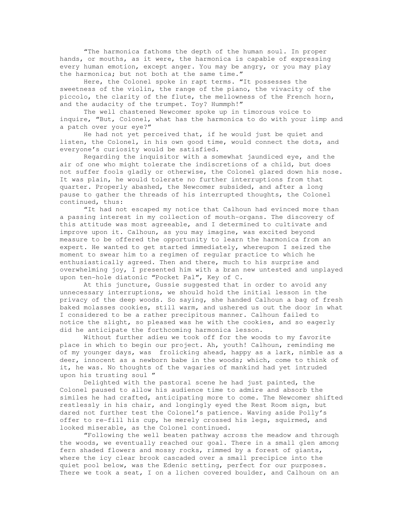"The harmonica fathoms the depth of the human soul. In proper hands, or mouths, as it were, the harmonica is capable of expressing every human emotion, except anger. You may be angry, or you may play the harmonica; but not both at the same time."

 Here, the Colonel spoke in rapt terms. "It possesses the sweetness of the violin, the range of the piano, the vivacity of the piccolo, the clarity of the flute, the mellowness of the French horn, and the audacity of the trumpet. Toy? Hummph!"

 The well chastened Newcomer spoke up in timorous voice to inquire, "But, Colonel, what has the harmonica to do with your limp and a patch over your eye?"

 He had not yet perceived that, if he would just be quiet and listen, the Colonel, in his own good time, would connect the dots, and everyone's curiosity would be satisfied.

 Regarding the inquisitor with a somewhat jaundiced eye, and the air of one who might tolerate the indiscretions of a child, but does not suffer fools gladly or otherwise, the Colonel glared down his nose. It was plain, he would tolerate no further interruptions from that quarter. Properly abashed, the Newcomer subsided, and after a long pause to gather the threads of his interrupted thoughts, the Colonel continued, thus:

 "It had not escaped my notice that Calhoun had evinced more than a passing interest in my collection of mouth-organs. The discovery of this attitude was most agreeable, and I determined to cultivate and improve upon it. Calhoun, as you may imagine, was excited beyond measure to be offered the opportunity to learn the harmonica from an expert. He wanted to get started immediately, whereupon I seized the moment to swear him to a regimen of regular practice to which he enthusiastically agreed. Then and there, much to his surprise and overwhelming joy, I presented him with a bran new untested and unplayed upon ten-hole diatonic "Pocket Pal", Key of C.

 At this juncture, Gussie suggested that in order to avoid any unnecessary interruptions, we should hold the initial lesson in the privacy of the deep woods. So saying, she handed Calhoun a bag of fresh baked molasses cookies, still warm, and ushered us out the door in what I considered to be a rather precipitous manner. Calhoun failed to notice the slight, so pleased was he with the cookies, and so eagerly did he anticipate the forthcoming harmonica lesson.

 Without further adieu we took off for the woods to my favorite place in which to begin our project. Ah, youth! Calhoun, reminding me of my younger days, was frolicking ahead, happy as a lark, nimble as a deer, innocent as a newborn babe in the woods; which, come to think of it, he was. No thoughts of the vagaries of mankind had yet intruded upon his trusting soul "

 Delighted with the pastoral scene he had just painted, the Colonel paused to allow his audience time to admire and absorb the similes he had crafted, anticipating more to come. The Newcomer shifted restlessly in his chair, and longingly eyed the Rest Room sign, but dared not further test the Colonel's patience. Waving aside Polly's offer to re-fill his cup, he merely crossed his legs, squirmed, and looked miserable, as the Colonel continued.

 "Following the well beaten pathway across the meadow and through the woods, we eventually reached our goal. There in a small glen among fern shaded flowers and mossy rocks, rimmed by a forest of giants, where the icy clear brook cascaded over a small precipice into the quiet pool below, was the Edenic setting, perfect for our purposes. There we took a seat, I on a lichen covered boulder, and Calhoun on an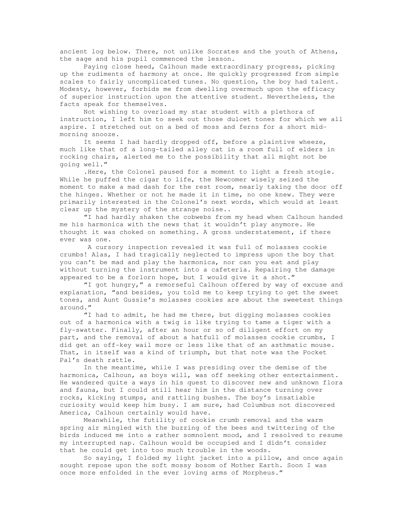ancient log below. There, not unlike Socrates and the youth of Athens, the sage and his pupil commenced the lesson.

 Paying close heed, Calhoun made extraordinary progress, picking up the rudiments of harmony at once. He quickly progressed from simple scales to fairly uncomplicated tunes. No question, the boy had talent. Modesty, however, forbids me from dwelling overmuch upon the efficacy of superior instruction upon the attentive student. Nevertheless, the facts speak for themselves.

 Not wishing to overload my star student with a plethora of instruction, I left him to seek out those dulcet tones for which we all aspire. I stretched out on a bed of moss and ferns for a short midmorning snooze.

 It seems I had hardly dropped off, before a plaintive wheeze, much like that of a long-tailed alley cat in a room full of elders in rocking chairs, alerted me to the possibility that all might not be going well."

 .Here, the Colonel paused for a moment to light a fresh stogie. While he puffed the cigar to life, the Newcomer wisely seized the moment to make a mad dash for the rest room, nearly taking the door off the hinges. Whether or not he made it in time, no one knew. They were primarily interested in the Colonel's next words, which would at least clear up the mystery of the strange noise..

 "I had hardly shaken the cobwebs from my head when Calhoun handed me his harmonica with the news that it wouldn't play anymore. He thought it was choked on something. A gross understatement, if there ever was one.

 A cursory inspection revealed it was full of molasses cookie crumbs! Alas, I had tragically neglected to impress upon the boy that you can't be mad and play the harmonica, nor can you eat and play without turning the instrument into a cafeteria. Repairing the damage appeared to be a forlorn hope, but I would give it a shot."

 "I got hungry," a remorseful Calhoun offered by way of excuse and explanation, "and besides, you told me to keep trying to get the sweet tones, and Aunt Gussie's molasses cookies are about the sweetest things around."

 "I had to admit, he had me there, but digging molasses cookies out of a harmonica with a twig is like trying to tame a tiger with a fly-swatter. Finally, after an hour or so of diligent effort on my part, and the removal of about a hatfull of molasses cookie crumbs, I did get an off-key wail more or less like that of an asthmatic mouse. That, in itself was a kind of triumph, but that note was the Pocket Pal's death rattle.

 In the meantime, while I was presiding over the demise of the harmonica, Calhoun, as boys will, was off seeking other entertainment. He wandered quite a ways in his quest to discover new and unknown flora and fauna, but I could still hear him in the distance turning over rocks, kicking stumps, and rattling bushes. The boy's insatiable curiosity would keep him busy. I am sure, had Columbus not discovered America, Calhoun certainly would have.

 Meanwhile, the futility of cookie crumb removal and the warm spring air mingled with the buzzing of the bees and twittering of the birds induced me into a rather somnolent mood, and I resolved to resume my interrupted nap. Calhoun would be occupied and I didn't consider that he could get into too much trouble in the woods.

 So saying, I folded my light jacket into a pillow, and once again sought repose upon the soft mossy bosom of Mother Earth. Soon I was once more enfolded in the ever loving arms of Morpheus."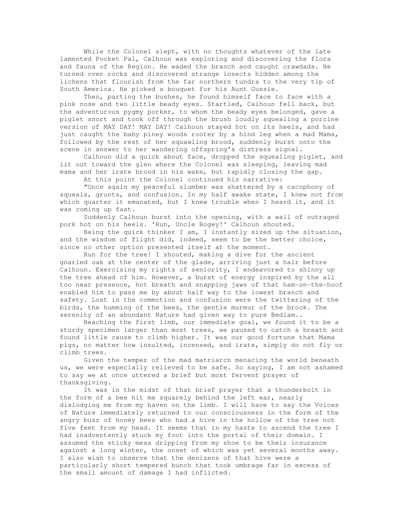While the Colonel slept, with no thoughts whatever of the late lamented Pocket Pal, Calhoun was exploring and discovering the flora and fauna of the Region. He waded the branch and caught crawdads. He turned over rocks and discovered strange insects hidden among the lichens that flourish from the far northern tundra to the very tip of South America. He picked a bouquet for his Aunt Gussie.

 Then, parting the bushes, he found himself face to face with a pink nose and two little beady eyes. Startled, Calhoun fell back, but the adventurous pygmy porker, to whom the beady eyes belonged, gave a piglet snort and took off through the brush loudly squealing a porcine version of MAY DAY! MAY DAY! Calhoun stayed hot on its heels, and had just caught the baby piney woods rooter by a hind leg when a mad Mama, followed by the rest of her squawling brood, suddenly burst onto the scene in answer to her wandering offspring's distress signal.

 Calhoun did a quick about face, dropped the squealing piglet, and lit out toward the glen where the Colonel was sleeping, leaving mad mama and her irate brood in his wake, but rapidly closing the gap.

At this point the Colonel continued his narrative:

 "Once again my peaceful slumber was shattered by a cacophony of squeals, grunts, and confusion. In my half awake state, I knew not from which quarter it emanated, but I knew trouble when I heard it, and it was coming up fast.

 Suddenly Calhoun burst into the opening, with a wall of outraged pork hot on his heels. 'Run, Uncle Bogey!' Calhoun shouted.

 Being the quick thinker I am, I instantly sized up the situation, and the wisdom of flight did, indeed, seem to be the better choice, since no other option presented itself at the moment.

 Run for the tree! I shouted, making a dive for the ancient gnarled oak at the center of the glade, arriving just a hair before Calhoun. Exercising my rights of seniority, I endeavored to shinny up the tree ahead of him. However, a burst of energy inspired by the all too near presence, hot breath and snapping jaws of that ham-on-the-hoof enabled him to pass me by about half way to the lowest branch and safety. Lost in the commotion and confusion were the twittering of the birds, the humming of the bees, the gentle murmur of the brook. The serenity of an abundant Nature had given way to pure Bedlam..

 Reaching the first limb, our immediate goal, we found it to be a sturdy specimen larger than most trees, we paused to catch a breath and found little cause to climb higher. It was our good fortune that Mama pigs, no matter how insulted, incensed, and irate, simply do not fly or climb trees.

 Given the temper of the mad matriarch menacing the world beneath us, we were especially relieved to be safe. So saying, I am not ashamed to say we at once uttered a brief but most fervent prayer of thanksgiving.

 It was in the midst of that brief prayer that a thunderbolt in the form of a bee hit me squarely behind the left ear, nearly dislodging me from my haven on the limb. I will have to say the Voices of Nature immediately returned to our consciousness in the form of the angry buzz of honey bees who had a hive in the hollow of the tree not five feet from my head. It seems that in my haste to ascend the tree I had inadvertently stuck my foot into the portal of their domain. I assumed the sticky mess dripping from my shoe to be their insurance against a long winter, the onset of which was yet several months away. I also wish to observe that the denizens of that hive were a particularly short tempered bunch that took umbrage far in excess of the small amount of damage I had inflicted.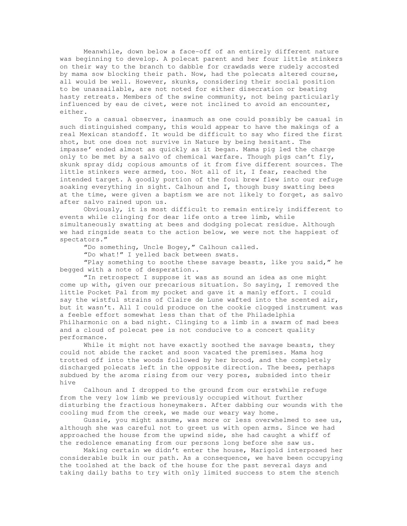Meanwhile, down below a face-off of an entirely different nature was beginning to develop. A polecat parent and her four little stinkers on their way to the branch to dabble for crawdads were rudely accosted by mama sow blocking their path. Now, had the polecats altered course, all would be well. However, skunks, considering their social position to be unassailable, are not noted for either disecration or beating hasty retreats. Members of the swine community, not being particularly influenced by eau de civet, were not inclined to avoid an encounter, either.

 To a casual observer, inasmuch as one could possibly be casual in such distinguished company, this would appear to have the makings of a real Mexican standoff. It would be difficult to say who fired the first shot, but one does not survive in Nature by being hesitant. The impasse' ended almost as quickly as it began. Mama pig led the charge only to be met by a salvo of chemical warfare. Though pigs can't fly, skunk spray did; copious amounts of it from five different sources. The little stinkers were armed, too. Not all of it, I fear, reached the intended target. A goodly portion of the foul brew flew into our refuge soaking everything in sight. Calhoun and I, though busy swatting bees at the time, were given a baptism we are not likely to forget, as salvo after salvo rained upon us.

 Obviously, it is most difficult to remain entirely indifferent to events while clinging for dear life onto a tree limb, while simultaneously swatting at bees and dodging polecat residue. Although we had ringside seats to the action below, we were not the happiest of spectators."

"Do something, Uncle Bogey," Calhoun called.

"Do what!" I yelled back between swats.

 "Play something to soothe these savage beasts, like you said," he begged with a note of desperation..

 "In retrospect I suppose it was as sound an idea as one might come up with, given our precarious situation. So saying, I removed the little Pocket Pal from my pocket and gave it a manly effort. I could say the wistful strains of Claire de Lune wafted into the scented air, but it wasn't. All I could produce on the cookie clogged instrument was a feeble effort somewhat less than that of the Philadelphia Philharmonic on a bad night. Clinging to a limb in a swarm of mad bees and a cloud of polecat pee is not conducive to a concert quality performance.

While it might not have exactly soothed the savage beasts, they could not abide the racket and soon vacated the premises. Mama hog trotted off into the woods followed by her brood, and the completely discharged polecats left in the opposite direction. The bees, perhaps subdued by the aroma rising from our very pores, subsided into their hive

 Calhoun and I dropped to the ground from our erstwhile refuge from the very low limb we previously occupied without further disturbing the fractious honeymakers. After dabbing our wounds with the cooling mud from the creek, we made our weary way home.

 Gussie, you might assume, was more or less overwhelmed to see us, although she was careful not to greet us with open arms. Since we had approached the house from the upwind side, she had caught a whiff of the redolence emanating from our persons long before she saw us.

 Making certain we didn't enter the house, Marigold interposed her considerable bulk in our path. As a consequence, we have been occupying the toolshed at the back of the house for the past several days and taking daily baths to try with only limited success to stem the stench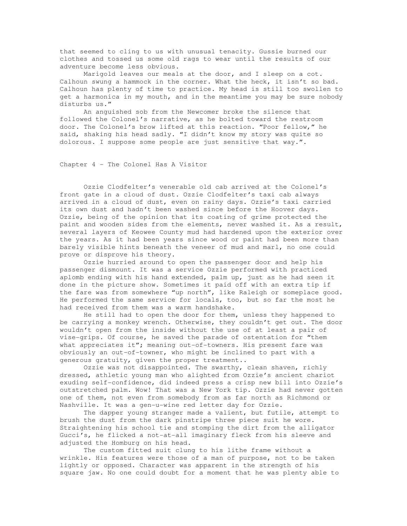that seemed to cling to us with unusual tenacity. Gussie burned our clothes and tossed us some old rags to wear until the results of our adventure become less obvious.

 Marigold leaves our meals at the door, and I sleep on a cot. Calhoun swung a hammock in the corner. What the heck, it isn't so bad. Calhoun has plenty of time to practice. My head is still too swollen to get a harmonica in my mouth, and in the meantime you may be sure nobody disturbs us."

 An anguished sob from the Newcomer broke the silence that followed the Colonel's narrative, as he bolted toward the restroom door. The Colonel's brow lifted at this reaction. "Poor fellow," he said, shaking his head sadly. "I didn't know my story was quite so dolorous. I suppose some people are just sensitive that way.".

Chapter 4 - The Colonel Has A Visitor

 Ozzie Clodfelter's venerable old cab arrived at the Colonel's front gate in a cloud of dust. Ozzie Clodfelter's taxi cab always arrived in a cloud of dust, even on rainy days. Ozzie's taxi carried its own dust and hadn't been washed since before the Hoover days. Ozzie, being of the opinion that its coating of grime protected the paint and wooden sides from the elements, never washed it. As a result, several layers of Keowee County mud had hardened upon the exterior over the years. As it had been years since wood or paint had been more than barely visible hints beneath the veneer of mud and marl, no one could prove or disprove his theory.

 Ozzie hurried around to open the passenger door and help his passenger dismount. It was a service Ozzie performed with practiced aplomb ending with his hand extended, palm up, just as he had seen it done in the picture show. Sometimes it paid off with an extra tip if the fare was from somewhere "up north", like Raleigh or someplace good. He performed the same service for locals, too, but so far the most he had received from them was a warm handshake.

 He still had to open the door for them, unless they happened to be carrying a monkey wrench. Otherwise, they couldn't get out. The door wouldn't open from the inside without the use of at least a pair of vise-grips. Of course, he saved the parade of ostentation for "them what appreciates it"; meaning out-of-towners. His present fare was obviously an out-of-towner, who might be inclined to part with a generous gratuity, given the proper treatment..

Ozzie was not disappointed. The swarthy, clean shaven, richly dressed, athletic young man who alighted from Ozzie's ancient chariot exuding self-confidence, did indeed press a crisp new bill into Ozzie's outstretched palm. Wow! That was a New York tip. Ozzie had never gotten one of them, not even from somebody from as far north as Richmond or Nashville. It was a gen-u-wine red letter day for Ozzie.

 The dapper young stranger made a valient, but futile, attempt to brush the dust from the dark pinstripe three piece suit he wore. Straightening his school tie and stomping the dirt from the alligator Gucci's, he flicked a not-at-all imaginary fleck from his sleeve and adjusted the Homburg on his head.

 The custom fitted suit clung to his lithe frame without a wrinkle. His features were those of a man of purpose, not to be taken lightly or opposed. Character was apparent in the strength of his square jaw. No one could doubt for a moment that he was plenty able to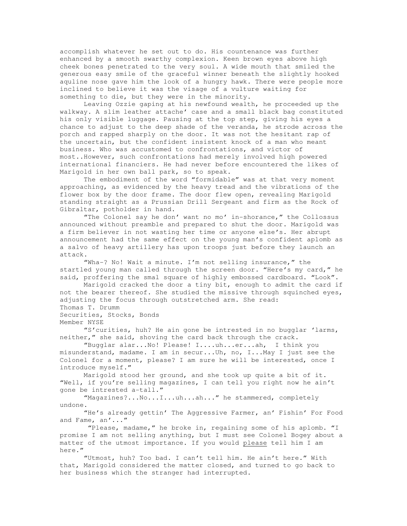accomplish whatever he set out to do. His countenance was further enhanced by a smooth swarthy complexion. Keen brown eyes above high cheek bones penetrated to the very soul. A wide mouth that smiled the generous easy smile of the graceful winner beneath the slightly hooked aquline nose gave him the look of a hungry hawk. There were people more inclined to believe it was the visage of a vulture waiting for something to die, but they were in the minority.

 Leaving Ozzie gaping at his newfound wealth, he proceeded up the walkway. A slim leather attache' case and a small black bag constituted his only visible luggage. Pausing at the top step, giving his eyes a chance to adjust to the deep shade of the veranda, he strode across the porch and rapped sharply on the door. It was not the hesitant rap of the uncertain, but the confident insistent knock of a man who meant business. Who was accustomed to confrontations, and victor of most..However, such confrontations had merely involved high powered international financiers. He had never before encountered the likes of Marigold in her own ball park, so to speak.

 The embodiment of the word "formidable" was at that very moment approaching, as evidenced by the heavy tread and the vibrations of the flower box by the door frame. The door flew open, revealing Marigold standing straight as a Prussian Drill Sergeant and firm as the Rock of Gibraltar, potholder in hand.

 "The Colonel say he don' want no mo' in-shorance," the Collossus announced without preamble and prepared to shut the door. Marigold was a firm believer in not wasting her time or anyone else's. Her abrupt announcement had the same effect on the young man's confident aplomb as a salvo of heavy artillery has upon troops just before they launch an attack.

 "Wha-? No! Wait a minute. I'm not selling insurance," the startled young man called through the screen door. "Here's my card," he said, proffering the smal square of highly embossed cardboard. "Look".

 Marigold cracked the door a tiny bit, enough to admit the card if not the bearer thereof. She studied the missive through squinched eyes, adjusting the focus through outstretched arm. She read: Thomas T. Drumm

Securities, Stocks, Bonds

Member NYSE

 "S'curities, huh? He ain gone be intrested in no bugglar 'larms, neither," she said, shoving the card back through the crack.

 "Bugglar alar...No! Please! I....uh...er...ah, I think you misunderstand, madame. I am in secur...Uh, no, I...May I just see the Colonel for a moment, please? I am sure he will be interested, once I introduce myself."

 Marigold stood her ground, and she took up quite a bit of it. "Well, if you're selling magazines, I can tell you right now he ain't gone be intrested a-tall."

 "Magazines?...No...I...uh...ah..." he stammered, completely undone.

 "He's already gettin' The Aggressive Farmer, an' Fishin' For Food and Fame, an'..."

 "Please, madame," he broke in, regaining some of his aplomb. "I promise I am not selling anything, but I must see Colonel Bogey about a matter of the utmost importance. If you would please tell him I am here."

 "Utmost, huh? Too bad. I can't tell him. He ain't here." With that, Marigold considered the matter closed, and turned to go back to her business which the stranger had interrupted.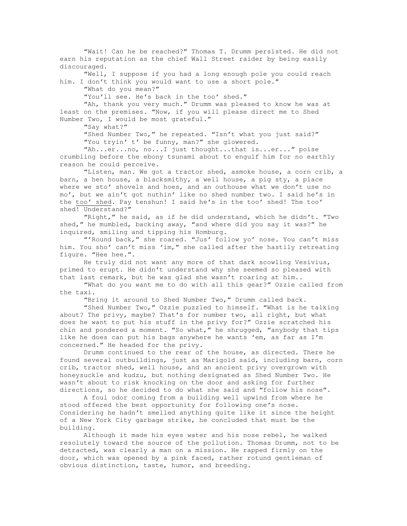"Wait! Can he be reached?" Thomas T. Drumm persisted. He did not earn his reputation as the chief Wall Street raider by being easily discouraged.

 "Well, I suppose if you had a long enough pole you could reach him. I don't think you would want to use a short pole."

"What do you mean?"

"You'll see. He's back in the too' shed."

 "Ah, thank you very much." Drumm was pleased to know he was at least on the premises. "Now, if you will please direct me to Shed Number Two, I would be most grateful."

"Say what?"

 "Shed Number Two," he repeated. "Isn't what you just said?" "You tryin' t' be funny, man?" she glowered.

 "Ah...er...no, no...I just thought...that is...er..." poise crumbling before the ebony tsunami about to engulf him for no earthly reason he could perceive.

 "Listen, man. We got a tractor shed, asmoke house, a corn crib, a barn, a hen house, a blacksmithy, a well house, a pig sty, a place where we sto' shovels and hoes, and an outhouse what we don't use no mo', but we ain't got nuthin' like no shed number two. I said he's in the too' shed. Pay tenshun! I said he's in the too' shed! The too' shed! Understand?"

 "Right," he said, as if he did understand, which he didn't. "Two shed," he mumbled, backing away, "and where did you say it was?" he inquired, smiling and tipping his Homburg.

 "'Round back," she roared. "Jus' follow yo' nose. You can't miss him. You sho' can't miss 'im," she called after the hastily retreating figure. "Hee hee.".

 He truly did not want any more of that dark scowling Vesivius, primed to erupt. He didn't understand why she seemed so pleased with that last remark, but he was glad she wasn't roaring at him..

 "What do you want me to do with all this gear?" Ozzie called from the taxi.

"Bring it around to Shed Number Two," Drumm called back.

 "Shed Number Two," Ozzie puzzled to himself. "What is he talking about? The privy, maybe? That's for number two, all right, but what does he want to put his stuff in the privy for?" Ozzie scratched his chin and pondered a moment. "So what," he shrugged, "anybody that tips like he does can put his bags anywhere he wants 'em, as far as I'm concerned." He headed for the privy.

 Drumm continued to the rear of the house, as directed. There he found several outbuildings, just as Marigold said, including barn, corn crib, tractor shed, well house, and an ancient privy overgrown with honeysuckle and kudzu, but nothing designated as Shed Number Two. He wasn't about to risk knocking on the door and asking for further directions, so he decided to do what she said and "follow his nose".

 A foul odor coming from a building well upwind from where he stood offered the best opportunity for following one's nose. Considering he hadn't smelled anything quite like it since the height of a New York City garbage strike, he concluded that must be the building.

 Although it made his eyes water and his nose rebel, he walked resolutely toward the source of the pollution. Thomas Drumm, not to be detracted, was clearly a man on a mission. He rapped firmly on the door, which was opened by a pink faced, rather rotund gentleman of obvious distinction, taste, humor, and breeding.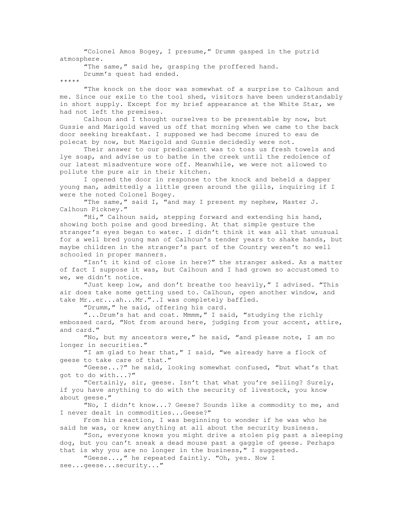"Colonel Amos Bogey, I presume," Drumm gasped in the putrid atmosphere.

"The same," said he, grasping the proffered hand.

Drumm's quest had ended.

\*\*\*\*\*

 "The knock on the door was somewhat of a surprise to Calhoun and me. Since our exile to the tool shed, visitors have been understandably in short supply. Except for my brief appearance at the White Star, we had not left the premises.

 Calhoun and I thought ourselves to be presentable by now, but Gussie and Marigold waved us off that morning when we came to the back door seeking breakfast. I supposed we had become inured to eau de polecat by now, but Marigold and Gussie decidedly were not.

 Their answer to our predicament was to toss us fresh towels and lye soap, and advise us to bathe in the creek until the redolence of our latest misadventure wore off. Meanwhile, we were not allowed to pollute the pure air in their kitchen.

 I opened the door in response to the knock and beheld a dapper young man, admittedly a little green around the gills, inquiring if I were the noted Colonel Bogey.

 "The same," said I, "and may I present my nephew, Master J. Calhoun Pickney."

 "Hi," Calhoun said, stepping forward and extending his hand, showing both poise and good breeding. At that simple gesture the stranger's eyes began to water. I didn't think it was all that unusual for a well bred young man of Calhoun's tender years to shake hands, but maybe children in the stranger's part of the Country weren't so well schooled in proper manners.

 "Isn't it kind of close in here?" the stranger asked. As a matter of fact I suppose it was, but Calhoun and I had grown so accustomed to we, we didn't notice.

 "Just keep low, and don't breathe too heavily," I advised. "This air does take some getting used to. Calhoun, open another window, and take Mr..er...ah...Mr."..I was completely baffled.

"Drumm," he said, offering his card.

 "...Drum's hat and coat. Mmmm," I said, "studying the richly embossed card, "Not from around here, judging from your accent, attire, and card."

 "No, but my ancestors were," he said, "and please note, I am no longer in securities."

 "I am glad to hear that," I said, "we already have a flock of geese to take care of that."

 "Geese...?" he said, looking somewhat confused, "but what's that got to do with...?"

 "Certainly, sir, geese. Isn't that what you're selling? Surely, if you have anything to do with the security of livestock, you know about geese."

 "No, I didn't know...? Geese? Sounds like a commodity to me, and I never dealt in commodities...Geese?"

 From his reaction, I was beginning to wonder if he was who he said he was, or knew anything at all about the security business.

 "Son, everyone knows you might drive a stolen pig past a sleeping dog, but you can't sneak a dead mouse past a gaggle of geese. Perhaps that is why you are no longer in the business," I suggested.

"Geese...," he repeated faintly. "Oh, yes. Now I

see...geese...security..."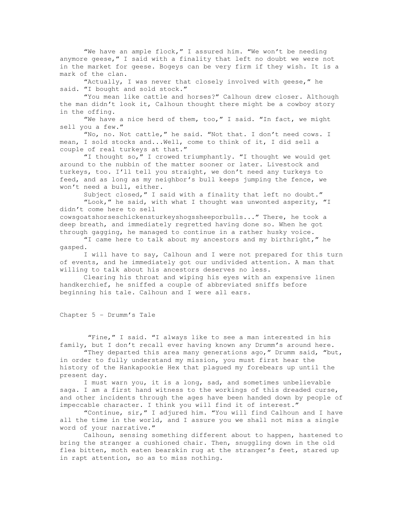"We have an ample flock," I assured him. "We won't be needing anymore geese," I said with a finality that left no doubt we were not in the market for geese. Bogeys can be very firm if they wish. It is a mark of the clan.

 "Actually, I was never that closely involved with geese," he said. "I bought and sold stock."

 "You mean like cattle and horses?" Calhoun drew closer. Although the man didn't look it, Calhoun thought there might be a cowboy story in the offing.

 "We have a nice herd of them, too," I said. "In fact, we might sell you a few."

 "No, no. Not cattle," he said. "Not that. I don't need cows. I mean, I sold stocks and...Well, come to think of it, I did sell a couple of real turkeys at that."

 "I thought so," I crowed triumphantly. "I thought we would get around to the nubbin of the matter sooner or later. Livestock and turkeys, too. I'll tell you straight, we don't need any turkeys to feed, and as long as my neighbor's bull keeps jumping the fence, we won't need a bull, either.

Subject closed," I said with a finality that left no doubt."

"Look," he said, with what I thought was unwonted asperity, "I didn't come here to sell

cowsgoatshorseschickensturkeyshogssheeporbulls..." There, he took a deep breath, and immediately regretted having done so. When he got through gagging, he managed to continue in a rather husky voice.

 "I came here to talk about my ancestors and my birthright," he gasped.

 I will have to say, Calhoun and I were not prepared for this turn of events, and he immediately got our undivided attention. A man that willing to talk about his ancestors deserves no less.

 Clearing his throat and wiping his eyes with an expensive linen handkerchief, he sniffed a couple of abbreviated sniffs before beginning his tale. Calhoun and I were all ears.

Chapter 5 - Drumm's Tale

 "Fine," I said. "I always like to see a man interested in his family, but I don't recall ever having known any Drumm's around here.

 "They departed this area many generations ago," Drumm said, "but, in order to fully understand my mission, you must first hear the history of the Hankapookie Hex that plagued my forebears up until the present day.

 I must warn you, it is a long, sad, and sometimes unbelievable saga. I am a first hand witness to the workings of this dreaded curse, and other incidents through the ages have been handed down by people of impeccable character. I think you will find it of interest."

 "Continue, sir," I adjured him. "You will find Calhoun and I have all the time in the world, and I assure you we shall not miss a single word of your narrative."

 Calhoun, sensing something different about to happen, hastened to bring the stranger a cushioned chair. Then, snuggling down in the old flea bitten, moth eaten bearskin rug at the stranger's feet, stared up in rapt attention, so as to miss nothing.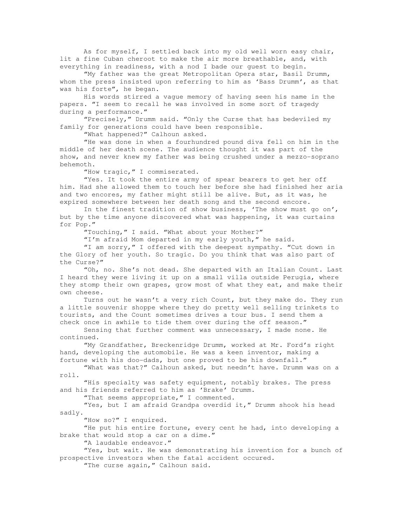As for myself, I settled back into my old well worn easy chair, lit a fine Cuban cheroot to make the air more breathable, and, with everything in readiness, with a nod I bade our guest to begin.

 "My father was the great Metropolitan Opera star, Basil Drumm, whom the press insisted upon referring to him as 'Bass Drumm', as that was his forte", he began.

 His words stirred a vague memory of having seen his name in the papers. "I seem to recall he was involved in some sort of tragedy during a performance."

 "Precisely," Drumm said. "Only the Curse that has bedeviled my family for generations could have been responsible.

"What happened?" Calhoun asked.

 "He was done in when a fourhundred pound diva fell on him in the middle of her death scene. The audience thought it was part of the show, and never knew my father was being crushed under a mezzo-soprano behemoth.

"How tragic, " I commiserated.

"Yes. It took the entire army of spear bearers to get her off him. Had she allowed them to touch her before she had finished her aria and two encores, my father might still be alive. But, as it was, he expired somewhere between her death song and the second encore.

 In the finest tradition of show business, 'The show must go on', but by the time anyone discovered what was happening, it was curtains for Pop."

"Touching," I said. "What about your Mother?"

"I'm afraid Mom departed in my early youth," he said.

 "I am sorry," I offered with the deepest sympathy. "Cut down in the Glory of her youth. So tragic. Do you think that was also part of the Curse?"

 "Oh, no. She's not dead. She departed with an Italian Count. Last I heard they were living it up on a small villa outside Perugia, where they stomp their own grapes, grow most of what they eat, and make their own cheese.

 Turns out he wasn't a very rich Count, but they make do. They run a little souvenir shoppe where they do pretty well selling trinkets to tourists, and the Count sometimes drives a tour bus. I send them a check once in awhile to tide them over during the off season."

 Sensing that further comment was unnecessary, I made none. He continued.

 "My Grandfather, Breckenridge Drumm, worked at Mr. Ford's right hand, developing the automobile. He was a keen inventor, making a fortune with his doo-dads, but one proved to be his downfall."

 "What was that?" Calhoun asked, but needn't have. Drumm was on a roll.

 "His specialty was safety equipment, notably brakes. The press and his friends referred to him as 'Brake' Drumm.

"That seems appropriate," I commented.

 "Yes, but I am afraid Grandpa overdid it," Drumm shook his head sadly.

"How so?" I enquired.

 "He put his entire fortune, every cent he had, into developing a brake that would stop a car on a dime."

"A laudable endeavor."

 "Yes, but wait. He was demonstrating his invention for a bunch of prospective investors when the fatal accident occured.

"The curse again," Calhoun said.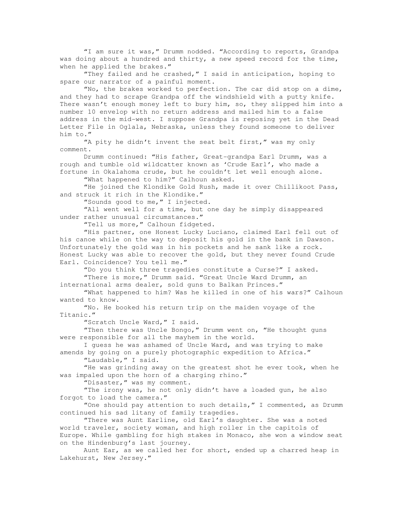"I am sure it was," Drumm nodded. "According to reports, Grandpa was doing about a hundred and thirty, a new speed record for the time, when he applied the brakes."

 "They failed and he crashed," I said in anticipation, hoping to spare our narrator of a painful moment.

 "No, the brakes worked to perfection. The car did stop on a dime, and they had to scrape Grandpa off the windshield with a putty knife. There wasn't enough money left to bury him, so, they slipped him into a number 10 envelop with no return address and mailed him to a false address in the mid-west. I suppose Grandpa is reposing yet in the Dead Letter File in Oglala, Nebraska, unless they found someone to deliver him to."

 "A pity he didn't invent the seat belt first," was my only comment.

 Drumm continued: "His father, Great-grandpa Earl Drumm, was a rough and tumble old wildcatter known as 'Crude Earl', who made a fortune in Okalahoma crude, but he couldn't let well enough alone.

"What happened to him?" Calhoun asked.

 "He joined the Klondike Gold Rush, made it over Chillikoot Pass, and struck it rich in the Klondike."

"Sounds good to me," I injected.

 "All went well for a time, but one day he simply disappeared under rather unusual circumstances."

"Tell us more," Calhoun fidgeted.

 "His partner, one Honest Lucky Luciano, claimed Earl fell out of his canoe while on the way to deposit his gold in the bank in Dawson. Unfortunately the gold was in his pockets and he sank like a rock. Honest Lucky was able to recover the gold, but they never found Crude Earl. Coincidence? You tell me."

 "Do you think three tragedies constitute a Curse?" I asked. "There is more," Drumm said. "Great Uncle Ward Drumm, an

international arms dealer, sold guns to Balkan Princes."

 "What happened to him? Was he killed in one of his wars?" Calhoun wanted to know.

 "No. He booked his return trip on the maiden voyage of the Titanic."

"Scratch Uncle Ward," I said.

 "Then there was Uncle Bongo," Drumm went on, "He thought guns were responsible for all the mayhem in the world.

 I guess he was ashamed of Uncle Ward, and was trying to make amends by going on a purely photographic expedition to Africa."

"Laudable," I said.

 "He was grinding away on the greatest shot he ever took, when he was impaled upon the horn of a charging rhino."

"Disaster," was my comment.

 "The irony was, he not only didn't have a loaded gun, he also forgot to load the camera."

 "One should pay attention to such details," I commented, as Drumm continued his sad litany of family tragedies.

 "There was Aunt Earline, old Earl's daughter. She was a noted world traveler, society woman, and high roller in the capitols of Europe. While gambling for high stakes in Monaco, she won a window seat on the Hindenburg's last journey.

 Aunt Ear, as we called her for short, ended up a charred heap in Lakehurst, New Jersey."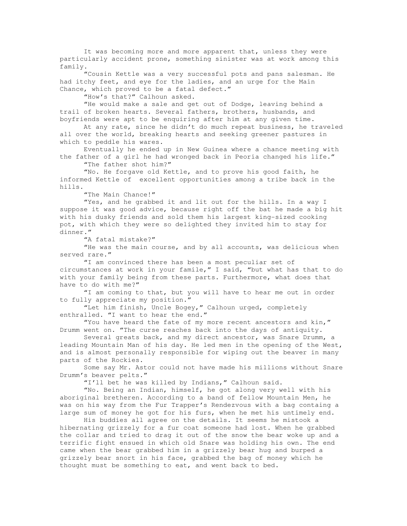It was becoming more and more apparent that, unless they were particularly accident prone, something sinister was at work among this family.

 "Cousin Kettle was a very successful pots and pans salesman. He had itchy feet, and eye for the ladies, and an urge for the Main Chance, which proved to be a fatal defect."

"How's that?" Calhoun asked.

 "He would make a sale and get out of Dodge, leaving behind a trail of broken hearts. Several fathers, brothers, husbands, and boyfriends were apt to be enquiring after him at any given time.

 At any rate, since he didn't do much repeat business, he traveled all over the world, breaking hearts and seeking greener pastures in which to peddle his wares.

 Eventually he ended up in New Guinea where a chance meeting with the father of a girl he had wronged back in Peoria changed his life."

"The father shot him?"

 "No. He forgave old Kettle, and to prove his good faith, he informed Kettle of excellent opportunities among a tribe back in the hills.

"The Main Chance!"

 "Yes, and he grabbed it and lit out for the hills. In a way I suppose it was good advice, because right off the bat he made a big hit with his dusky friends and sold them his largest king-sized cooking pot, with which they were so delighted they invited him to stay for dinner."

"A fatal mistake?"

 "He was the main course, and by all accounts, was delicious when served rare."

 "I am convinced there has been a most peculiar set of circumstances at work in your famile," I said, "but what has that to do with your family being from these parts. Furthermore, what does that have to do with me?"

 "I am coming to that, but you will have to hear me out in order to fully appreciate my position."

 "Let him finish, Uncle Bogey," Calhoun urged, completely enthralled. "I want to hear the end."

 "You have heard the fate of my more recent ancestors and kin," Drumm went on. "The curse reaches back into the days of antiquity.

 Several greats back, and my direct ancestor, was Snare Drumm, a leading Mountain Man of his day. He led men in the opening of the West, and is almost personally responsible for wiping out the beaver in many parts of the Rockies.

 Some say Mr. Astor could not have made his millions without Snare Drumm's beaver pelts."

"I'll bet he was killed by Indians," Calhoun said.

 "No. Being an Indian, himself, he got along very well with his aboriginal bretheren. According to a band of fellow Mountain Men, he was on his way from the Fur Trapper's Rendezvous with a bag containg a large sum of money he got for his furs, when he met his untimely end.

 His buddies all agree on the details. It seems he mistook a hibernating grizzely for a fur coat someone had lost. When he grabbed the collar and tried to drag it out of the snow the bear woke up and a terrific fight ensued in which old Snare was holding his own. The end came when the bear grabbed him in a grizzely bear hug and burped a grizzely bear snort in his face, grabbed the bag of money which he thought must be something to eat, and went back to bed.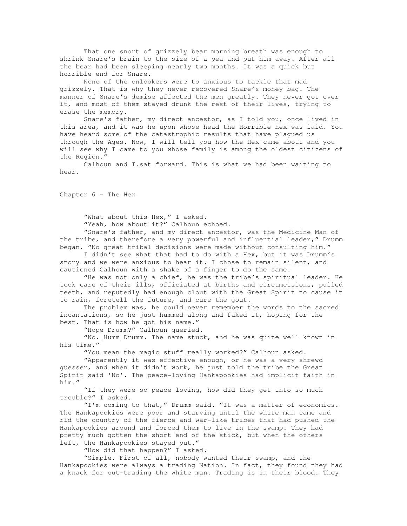That one snort of grizzely bear morning breath was enough to shrink Snare's brain to the size of a pea and put him away. After all the bear had been sleeping nearly two months. It was a quick but horrible end for Snare.

 None of the onlookers were to anxious to tackle that mad grizzely. That is why they never recovered Snare's money bag. The manner of Snare's demise affected the men greatly. They never got over it, and most of them stayed drunk the rest of their lives, trying to erase the memory.

 Snare's father, my direct ancestor, as I told you, once lived in this area, and it was he upon whose head the Horrible Hex was laid. You have heard some of the catastrophic results that have plagued us through the Ages. Now, I will tell you how the Hex came about and you will see why I came to you whose family is among the oldest citizens of the Region."

 Calhoun and I.sat forward. This is what we had been waiting to hear.

Chapter 6 - The Hex

"What about this Hex," I asked.

"Yeah, how about it?" Calhoun echoed.

 "Snare's father, and my direct ancestor, was the Medicine Man of the tribe, and therefore a very powerful and influential leader," Drumm began. "No great tribal decisions were made without consulting him."

 I didn't see what that had to do with a Hex, but it was Drumm's story and we were anxious to hear it. I chose to remain silent, and cautioned Calhoun with a shake of a finger to do the same.

 "He was not only a chief, he was the tribe's spiritual leader. He took care of their ills, officiated at births and circumcisions, pulled teeth, and reputedly had enough clout with the Great Spirit to cause it to rain, foretell the future, and cure the gout.

 The problem was, he could never remember the words to the sacred incantations, so he just hummed along and faked it, hoping for the best. That is how he got his name."

"Hope Drumm?" Calhoun queried.

 "No. Humm Drumm. The name stuck, and he was quite well known in his time."

"You mean the magic stuff really worked?" Calhoun asked.

 "Apparently it was effective enough, or he was a very shrewd guesser, and when it didn't work, he just told the tribe the Great Spirit said 'No'. The peace-loving Hankapookies had implicit faith in him."

 "If they were so peace loving, how did they get into so much trouble?" I asked.

 "I'm coming to that," Drumm said. "It was a matter of economics. The Hankapookies were poor and starving until the white man came and rid the country of the fierce and war-like tribes that had pushed the Hankapookies around and forced them to live in the swamp. They had pretty much gotten the short end of the stick, but when the others left, the Hankapookies stayed put."

"How did that happen?" I asked.

 "Simple. First of all, nobody wanted their swamp, and the Hankapookies were always a trading Nation. In fact, they found they had a knack for out-trading the white man. Trading is in their blood. They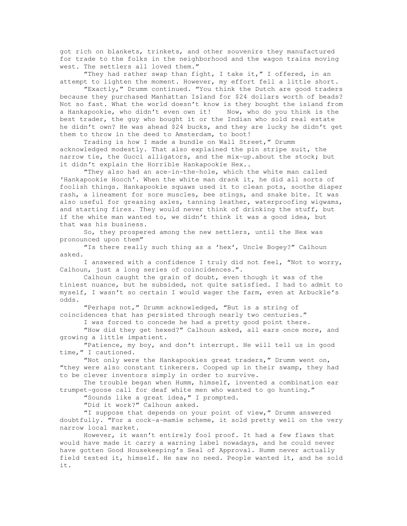got rich on blankets, trinkets, and other souvenirs they manufactured for trade to the folks in the neighborhood and the wagon trains moving west. The settlers all loved them."

 "They had rather swap than fight, I take it," I offered, in an attempt to lighten the moment. However, my effort fell a little short.

 "Exactly," Drumm continued. "You think the Dutch are good traders because they purchased Manhattan Island for \$24 dollars worth of beads? Not so fast. What the world doesn't know is they bought the island from a Hankapookie, who didn't even own it! Now, who do you think is the best trader, the guy who bought it or the Indian who sold real estate he didn't own? He was ahead \$24 bucks, and they are lucky he didn't get them to throw in the deed to Amsterdam, to boot!

 Trading is how I made a bundle on Wall Street," Drumm acknowledged modestly. That also explained the pin stripe suit, the narrow tie, the Gucci alligators, and the mix-up.about the stock; but it didn't explain the Horrible Hankapookie Hex..

 "They also had an ace-in-the-hole, which the white man called 'Hankapookie Hooch'. When the white man drank it, he did all sorts of foolish things. Hankapookie squaws used it to clean pots, soothe diaper rash, a lineament for sore muscles, bee stings, and snake bite. It was also useful for greasing axles, tanning leather, waterproofing wigwams, and starting fires. They would never think of drinking the stuff, but if the white man wanted to, we didn't think it was a good idea, but that was his business.

 So, they prospered among the new settlers, until the Hex was pronounced upon them"

 "Is there really such thing as a 'hex', Uncle Bogey?" Calhoun asked.

 I answered with a confidence I truly did not feel, "Not to worry, Calhoun, just a long series of coincidences.".

 Calhoun caught the grain of doubt, even though it was of the tiniest nuance, but he subsided, not quite satisfied. I had to admit to myself, I wasn't so certain I would wager the farm, even at Arbuckle's odds.

 "Perhaps not," Drumm acknowledged, "But is a string of coincidences that has persisted through nearly two centuries."

I was forced to concede he had a pretty good point there.

 "How did they get hexed?" Calhoun asked, all ears once more, and growing a little impatient.

 "Patience, my boy, and don't interrupt. He will tell us in good time," I cautioned.

 "Not only were the Hankapookies great traders," Drumm went on, "they were also constant tinkerers. Cooped up in their swamp, they had to be clever inventors simply in order to survive.

 The trouble began when Humm, himself, invented a combination ear trumpet-goose call for deaf white men who wanted to go hunting."

"Sounds like a great idea," I prompted.

"Did it work?" Calhoun asked.

 "I suppose that depends on your point of view," Drumm answered doubtfully. "For a cock-a-mamie scheme, it sold pretty well on the very narrow local market.

 However, it wasn't entirely fool proof. It had a few flaws that would have made it carry a warning label nowadays, and he could never have gotten Good Housekeeping's Seal of Approval. Humm never actually field tested it, himself. He saw no need. People wanted it, and he sold it.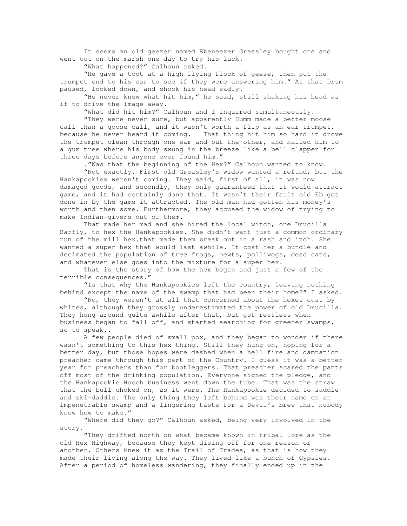It seems an old geezer named Ebeneezer Greasley bought one and went out on the marsh one day to try his luck.

"What happened?" Calhoun asked.

 "He gave a toot at a high flying flock of geese, then put the trumpet end to his ear to see if they were answering him." At that Drum paused, looked down, and shook his head sadly.

 "He never knew what hit him," he said, still shaking his head as if to drive the image away.

"What did hit him?" Calhoun and I inquired simultaneously.

 "They were never sure, but apparently Humm made a better moose call than a goose call, and it wasn't worth a flip as an ear trumpet, because he never heard it coming. That thing hit him so hard it drove the trumpet clean through one ear and out the other, and nailed him to a gum tree where his body swung in the breeze like a bell clapper for three days before anyone ever found him."

."Was that the beginning of the Hex?" Calhoun wanted to know.

 "Not exactly. First old Greasley's widow wanted a refund, but the Hankapookies weren't coming. They said, first of all, it was now damaged goods, and secondly, they only guaranteed that it would attract game, and it had certainly done that. It wasn't their fault old Eb got done in by the game it attracted. The old man had gotten his money's worth and then some. Furthermore, they accused the widow of trying to make Indian-givers out of them.

 That made her mad and she hired the local witch, one Drucilla Barfly, to hex the Hankapookies. She didn't want just a common ordinary run of the mill hex.that made them break out in a rash and itch. She wanted a super hex that would last awhile. It cost her a bundle and decimated the population of tree frogs, newts, polliwogs, dead cats, and whatever else goes into the mixture for a super hex.

 That is the story of how the hex began and just a few of the terrible consequences."

 "Is that why the Hankapookies left the country, leaving nothing behind except the name of the swamp that had been their home?" I asked.

 "No, they weren't at all that concerned about the hexes cast by whites, although they grossly underestimated the power of old Drucilla. They hung around quite awhile after that, but got restless when business began to fall off, and started searching for greener swamps, so to speak..

 A few people died of small pox, and they began to wonder if there wasn't something to this hex thing. Still they hung on, hoping for a better day, but those hopes were dashed when a hell fire and damnation preacher came through this part of the Country. I guess it was a better year for preachers than for bootleggers. That preacher scared the pants off most of the drinking population. Everyone signed the pledge, and the Hankapookie Hooch business went down the tube. That was the straw that the bull choked on, as it were. The Hankapookie decided to saddle and ski-daddle. The only thing they left behind was their name on an impenetrable swamp and a lingering taste for a Devil's brew that nobody knew how to make."

 "Where did they go?" Calhoun asked, being very involved in the story.

 "They drifted north on what became known in tribal lore as the old Hex Highway, because they kept dieing off for one reason or another. Others knew it as the Trail of Trades, as that is how they made their living along the way. They lived like a bunch of Gypsies. After a period of homeless wandering, they finally ended up in the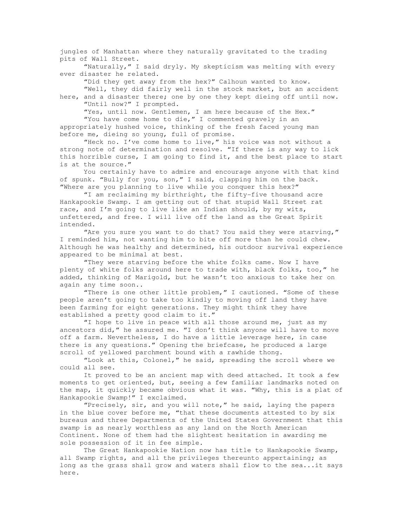jungles of Manhattan where they naturally gravitated to the trading pits of Wall Street.

 "Naturally," I said dryly. My skepticism was melting with every ever disaster he related.

"Did they get away from the hex?" Calhoun wanted to know.

 "Well, they did fairly well in the stock market, but an accident here, and a disaster there; one by one they kept dieing off until now. "Until now?" I prompted.

"Yes, until now. Gentlemen, I am here because of the Hex." "You have come home to die," I commented gravely in an appropriately hushed voice, thinking of the fresh faced young man before me, dieing so young, full of promise.

 "Heck no. I've come home to live," his voice was not without a strong note of determination and resolve. "If there is any way to lick this horrible curse, I am going to find it, and the best place to start is at the source."

 You certainly have to admire and encourage anyone with that kind of spunk. "Bully for you, son," I said, clapping him on the back. "Where are you planning to live while you conquer this hex?"

 "I am reclaiming my birthright, the fifty-five thousand acre Hankapookie Swamp. I am getting out of that stupid Wall Street rat race, and I'm going to live like an Indian should, by my wits, unfettered, and free. I will live off the land as the Great Spirit intended.

"Are you sure you want to do that? You said they were starving," I reminded him, not wanting him to bite off more than he could chew. Although he was healthy and determined, his outdoor survival experience appeared to be minimal at best.

 "They were starving before the white folks came. Now I have plenty of white folks around here to trade with, black folks, too," he added, thinking of Marigold, but he wasn't too anxious to take her on again any time soon..

 "There is one other little problem," I cautioned. "Some of these people aren't going to take too kindly to moving off land they have been farming for eight generations. They might think they have established a pretty good claim to it."

 "I hope to live in peace with all those around me, just as my ancestors did," he assured me. "I don't think anyone will have to move off a farm. Nevertheless, I do have a little leverage here, in case there is any questions." Opening the briefcase, he produced a large scroll of yellowed parchment bound with a rawhide thong.

 "Look at this, Colonel," he said, spreading the scroll where we could all see.

 It proved to be an ancient map with deed attached. It took a few moments to get oriented, but, seeing a few familiar landmarks noted on the map, it quickly became obvious what it was. "Why, this is a plat of Hankapookie Swamp!" I exclaimed.

 "Precisely, sir, and you will note," he said, laying the papers in the blue cover before me, "that these documents attested to by six bureaus and three Departments of the United States Government that this swamp is as nearly worthless as any land on the North American Continent. None of them had the slightest hesitation in awarding me sole possession of it in fee simple.

 The Great Hankapookie Nation now has title to Hankapookie Swamp, all Swamp rights, and all the privileges thereunto appertaining; as long as the grass shall grow and waters shall flow to the sea...it says here.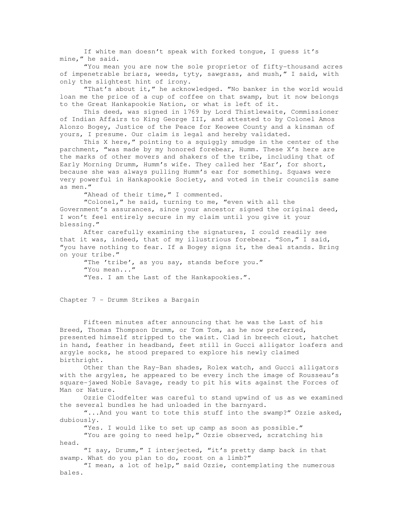If white man doesn't speak with forked tongue, I guess it's mine," he said.

 "You mean you are now the sole proprietor of fifty-thousand acres of impenetrable briars, weeds, tyty, sawgrass, and mush," I said, with only the slightest hint of irony.

 "That's about it," he acknowledged. "No banker in the world would loan me the price of a cup of coffee on that swamp, but it now belongs to the Great Hankapookie Nation, or what is left of it.

 This deed, was signed in 1769 by Lord Thistlewaite, Commissioner of Indian Affairs to King George III, and attested to by Colonel Amos Alonzo Bogey, Justice of the Peace for Keowee County and a kinsman of yours, I presume. Our claim is legal and hereby validated.

This X here," pointing to a squiggly smudge in the center of the parchment, "was made by my honored forebear, Humm. These X's here are the marks of other movers and shakers of the tribe, including that of Early Morning Drumm, Humm's wife. They called her 'Ear', for short, because she was always pulling Humm's ear for something. Squaws were very powerful in Hankapookie Society, and voted in their councils same as men."

"Ahead of their time," I commented.

 "Colonel," he said, turning to me, "even with all the Government's assurances, since your ancestor signed the original deed, I won't feel entirely secure in my claim until you give it your blessing."

 After carefully examining the signatures, I could readily see that it was, indeed, that of my illustrious forebear. "Son," I said, "you have nothing to fear. If a Bogey signs it, the deal stands. Bring on your tribe."

 "The 'tribe', as you say, stands before you." "You mean..." "Yes. I am the Last of the Hankapookies.".

Chapter 7 - Drumm Strikes a Bargain

 Fifteen minutes after announcing that he was the Last of his Breed, Thomas Thompson Drumm, or Tom Tom, as he now preferred, presented himself stripped to the waist. Clad in breech clout, hatchet in hand, feather in headband, feet still in Gucci alligator loafers and argyle socks, he stood prepared to explore his newly claimed birthright.

 Other than the Ray-Ban shades, Rolex watch, and Gucci alligators with the argyles, he appeared to be every inch the image of Rousseau's square-jawed Noble Savage, ready to pit his wits against the Forces of Man or Nature.

 Ozzie Clodfelter was careful to stand upwind of us as we examined the several bundles he had unloaded in the barnyard.

 "...And you want to tote this stuff into the swamp?" Ozzie asked, dubiously.

"Yes. I would like to set up camp as soon as possible."

 "You are going to need help," Ozzie observed, scratching his head.

 "I say, Drumm," I interjected, "it's pretty damp back in that swamp. What do you plan to do, roost on a limb?"

 "I mean, a lot of help," said Ozzie, contemplating the numerous bales.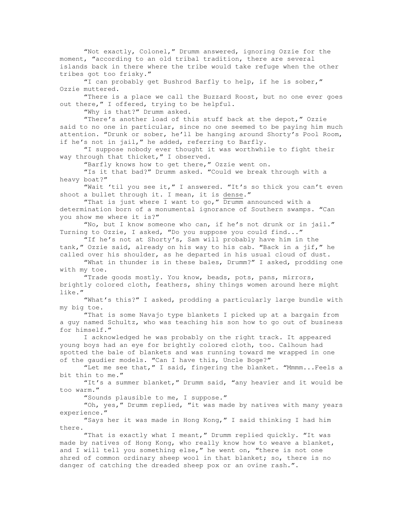"Not exactly, Colonel," Drumm answered, ignoring Ozzie for the moment, "according to an old tribal tradition, there are several islands back in there where the tribe would take refuge when the other tribes got too frisky."

 "I can probably get Bushrod Barfly to help, if he is sober," Ozzie muttered.

 "There is a place we call the Buzzard Roost, but no one ever goes out there," I offered, trying to be helpful.

"Why is that?" Drumm asked.

 "There's another load of this stuff back at the depot," Ozzie said to no one in particular, since no one seemed to be paying him much attention. "Drunk or sober, he'll be hanging around Shorty's Pool Room, if he's not in jail," he added, referring to Barfly.

 "I suppose nobody ever thought it was worthwhile to fight their way through that thicket," I observed.

"Barfly knows how to get there," Ozzie went on.

 "Is it that bad?" Drumm asked. "Could we break through with a heavy boat?"

 "Wait 'til you see it," I answered. "It's so thick you can't even shoot a bullet through it. I mean, it is dense."

 "That is just where I want to go," Drumm announced with a determination born of a monumental ignorance of Southern swamps. "Can you show me where it is?"

 "No, but I know someone who can, if he's not drunk or in jail." Turning to Ozzie, I asked, "Do you suppose you could find..."

 "If he's not at Shorty's, Sam will probably have him in the tank," Ozzie said, already on his way to his cab. "Back in a jif," he called over his shoulder, as he departed in his usual cloud of dust.

 "What in thunder is in these bales, Drumm?" I asked, prodding one with my toe.

 "Trade goods mostly. You know, beads, pots, pans, mirrors, brightly colored cloth, feathers, shiny things women around here might like."

 "What's this?" I asked, prodding a particularly large bundle with my big toe.

 "That is some Navajo type blankets I picked up at a bargain from a guy named Schultz, who was teaching his son how to go out of business for himself."

 I acknowledged he was probably on the right track. It appeared young boys had an eye for brightly colored cloth, too. Calhoun had spotted the bale of blankets and was running toward me wrapped in one of the gaudier models. "Can I have this, Uncle Boge?"

 "Let me see that," I said, fingering the blanket. "Mmmm...Feels a bit thin to me."

 "It's a summer blanket," Drumm said, "any heavier and it would be too warm."

"Sounds plausible to me, I suppose."

 "Oh, yes," Drumm replied, "it was made by natives with many years experience."

 "Says her it was made in Hong Kong," I said thinking I had him there.

 "That is exactly what I meant," Drumm replied quickly. "It was made by natives of Hong Kong, who really know how to weave a blanket, and I will tell you something else," he went on, "there is not one shred of common ordinary sheep wool in that blanket; so, there is no danger of catching the dreaded sheep pox or an ovine rash.".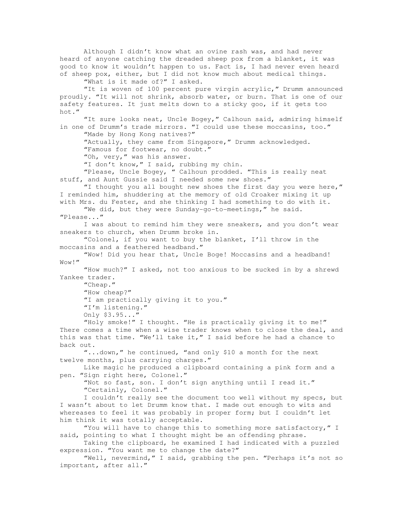Although I didn't know what an ovine rash was, and had never heard of anyone catching the dreaded sheep pox from a blanket, it was good to know it wouldn't happen to us. Fact is, I had never even heard of sheep pox, either, but I did not know much about medical things.

"What is it made of?" I asked.

 "It is woven of 100 percent pure virgin acrylic," Drumm announced proudly. "It will not shrink, absorb water, or burn. That is one of our safety features. It just melts down to a sticky goo, if it gets too hot."

 "It sure looks neat, Uncle Bogey," Calhoun said, admiring himself in one of Drumm's trade mirrors. "I could use these moccasins, too." "Made by Hong Kong natives?"

 "Actually, they came from Singapore," Drumm acknowledged. "Famous for footwear, no doubt."

"Oh, very," was his answer.

"I don't know," I said, rubbing my chin.

 "Please, Uncle Bogey, " Calhoun prodded. "This is really neat stuff, and Aunt Gussie said I needed some new shoes."

"I thought you all bought new shoes the first day you were here," I reminded him, shuddering at the memory of old Croaker mixing it up with Mrs. du Fester, and she thinking I had something to do with it.

 "We did, but they were Sunday-go-to-meetings," he said. "Please..."

 I was about to remind him they were sneakers, and you don't wear sneakers to church, when Drumm broke in.

 "Colonel, if you want to buy the blanket, I'll throw in the moccasins and a feathered headband."

 "Wow! Did you hear that, Uncle Boge! Moccasins and a headband! Wow!"

 "How much?" I asked, not too anxious to be sucked in by a shrewd Yankee trader.

 "Cheap." "How cheap?" "I am practically giving it to you." "I'm listening." Only \$3.95..."

 "Holy smoke!" I thought. "He is practically giving it to me!" There comes a time when a wise trader knows when to close the deal, and this was that time. "We'll take it," I said before he had a chance to back out.

 "...down," he continued, "and only \$10 a month for the next twelve months, plus carrying charges."

 Like magic he produced a clipboard containing a pink form and a pen. "Sign right here, Colonel."

 "Not so fast, son. I don't sign anything until I read it." "Certainly, Colonel."

 I couldn't really see the document too well without my specs, but I wasn't about to let Drumm know that. I made out enough to wits and whereases to feel it was probably in proper form; but I couldn't let him think it was totally acceptable.

 "You will have to change this to something more satisfactory," I said, pointing to what I thought might be an offending phrase.

 Taking the clipboard, he examined I had indicated with a puzzled expression. "You want me to change the date?"

 "Well, nevermind," I said, grabbing the pen. "Perhaps it's not so important, after all."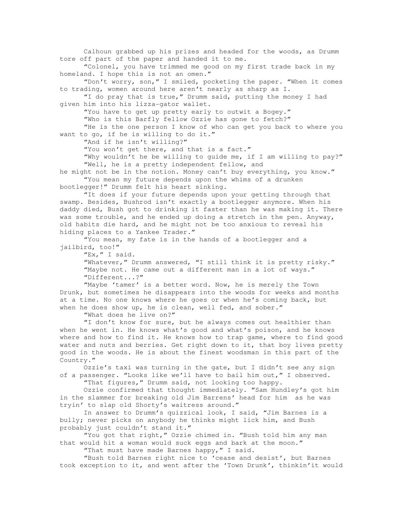Calhoun grabbed up his prizes and headed for the woods, as Drumm tore off part of the paper and handed it to me. "Colonel, you have trimmed me good on my first trade back in my homeland. I hope this is not an omen." "Don't worry, son," I smiled, pocketing the paper. "When it comes to trading, women around here aren't nearly as sharp as I. "I do pray that is true," Drumm said, putting the money I had given him into his lizza-gator wallet. "You have to get up pretty early to outwit a Bogey." "Who is this Barfly fellow Ozzie has gone to fetch?" "He is the one person I know of who can get you back to where you want to go, if he is willing to do it." "And if he isn't willing?" "You won't get there, and that is a fact." "Why wouldn't he be willing to guide me, if I am willing to pay?" "Well, he is a pretty independent fellow, and he might not be in the notion. Money can't buy everything, you know." "You mean my future depends upon the whims of a drunken bootlegger!" Drumm felt his heart sinking. "It does if your future depends upon your getting through that swamp. Besides, Bushrod isn't exactly a bootlegger anymore. When his daddy died, Bush got to drinking it faster than he was making it. There was some trouble, and he ended up doing a stretch in the pen. Anyway, old habits die hard, and he might not be too anxious to reveal his hiding places to a Yankee Trader." "You mean, my fate is in the hands of a bootlegger and a jailbird, too!" "Ex, " I said. "Whatever," Drumm answered, "I still think it is pretty risky." "Maybe not. He came out a different man in a lot of ways." "Different...?" "Maybe 'tamer' is a better word. Now, he is merely the Town Drunk, but sometimes he disappears into the woods for weeks and months at a time. No one knows where he goes or when he's coming back, but when he does show up, he is clean, well fed, and sober." "What does he live on?" "I don't know for sure, but he always comes out healthier than when he went in. He knows what's good and what's poison, and he knows where and how to find it. He knows how to trap game, where to find good water and nuts and berries. Get right down to it, that boy lives pretty good in the woods. He is about the finest woodsman in this part of the Country." Ozzie's taxi was turning in the gate, but I didn't see any sign of a passenger. "Looks like we'll have to bail him out," I observed. "That figures," Drumm said, not looking too happy.

 Ozzie confirmed that thought immediately. "Sam Hundley's got him in the slammer for breaking old Jim Barrens' head for him as he was tryin' to slap old Shorty's waitress around."

 In answer to Drumm's quizzical look, I said, "Jim Barnes is a bully; never picks on anybody he thinks might lick him, and Bush probably just couldn't stand it."

 "You got that right," Ozzie chimed in. "Bush told him any man that would hit a woman would suck eggs and bark at the moon."

"That must have made Barnes happy," I said.

 "Bush told Barnes right nice to 'cease and desist', but Barnes took exception to it, and went after the 'Town Drunk', thinkin'it would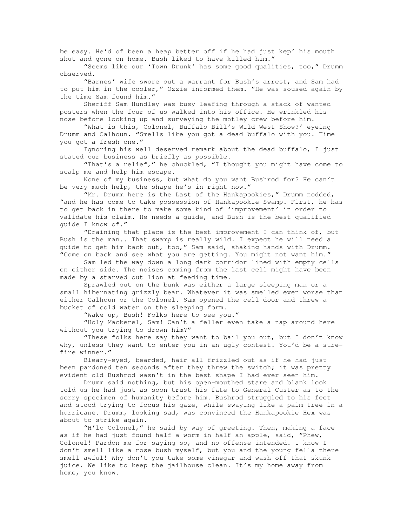be easy. He'd of been a heap better off if he had just kep' his mouth shut and gone on home. Bush liked to have killed him."

 "Seems like our 'Town Drunk' has some good qualities, too," Drumm observed.

 "Barnes' wife swore out a warrant for Bush's arrest, and Sam had to put him in the cooler," Ozzie informed them. "He was soused again by the time Sam found him."

 Sheriff Sam Hundley was busy leafing through a stack of wanted posters when the four of us walked into his office. He wrinkled his nose before looking up and surveying the motley crew before him.

 "What is this, Colonel, Buffalo Bill's Wild West Show?' eyeing Drumm and Calhoun. "Smells like you got a dead buffalo with you. Time you got a fresh one."

 Ignoring his well deserved remark about the dead buffalo, I just stated our business as briefly as possible.

 "That's a relief," he chuckled, "I thought you might have come to scalp me and help him escape.

 None of my business, but what do you want Bushrod for? He can't be very much help, the shape he's in right now."

 "Mr. Drumm here is the Last of the Hankapookies," Drumm nodded, "and he has come to take possession of Hankapookie Swamp. First, he has to get back in there to make some kind of 'improvement' in order to validate his claim. He needs a guide, and Bush is the best qualified guide I know of."

 "Draining that place is the best improvement I can think of, but Bush is the man.. That swamp is really wild. I expect he will need a guide to get him back out, too," Sam said, shaking hands with Drumm. "Come on back and see what you are getting. You might not want him."

 Sam led the way down a long dark corridor lined with empty cells on either side. The noises coming from the last cell might have been made by a starved out lion at feeding time.

 Sprawled out on the bunk was either a large sleeping man or a small hibernating grizzly bear. Whatever it was smelled even worse than either Calhoun or the Colonel. Sam opened the cell door and threw a bucket of cold water on the sleeping form.

"Wake up, Bush! Folks here to see you."

 "Holy Mackerel, Sam! Can't a feller even take a nap around here without you trying to drown him?"

 "These folks here say they want to bail you out, but I don't know why, unless they want to enter you in an ugly contest. You'd be a surefire winner."

 Bleary-eyed, bearded, hair all frizzled out as if he had just been pardoned ten seconds after they threw the switch; it was pretty evident old Bushrod wasn't in the best shape I had ever seen him.

 Drumm said nothing, but his open-mouthed stare and blank look told us he had just as soon trust his fate to General Custer as to the sorry specimen of humanity before him. Bushrod struggled to his feet and stood trying to focus his gaze, while swaying like a palm tree in a hurricane. Drumm, looking sad, was convinced the Hankapookie Hex was about to strike again.

 "H'lo Colonel," he said by way of greeting. Then, making a face as if he had just found half a worm in half an apple, said, "Phew, Colonel! Pardon me for saying so, and no offense intended. I know I don't smell like a rose bush myself, but you and the young fella there smell awful! Why don't you take some vinegar and wash off that skunk juice. We like to keep the jailhouse clean. It's my home away from home, you know.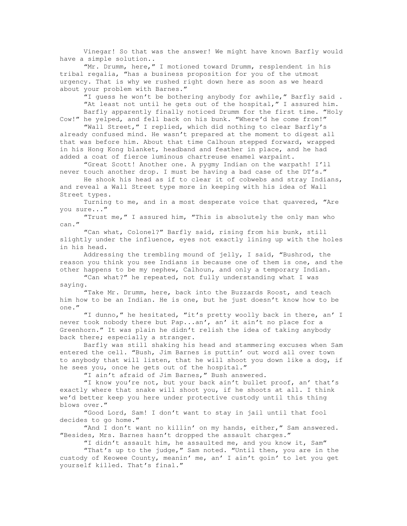Vinegar! So that was the answer! We might have known Barfly would have a simple solution..

 "Mr. Drumm, here," I motioned toward Drumm, resplendent in his tribal regalia, "has a business proposition for you of the utmost urgency. That is why we rushed right down here as soon as we heard about your problem with Barnes."

 "I guess he won't be bothering anybody for awhile," Barfly said . "At least not until he gets out of the hospital," I assured him. Barfly apparently finally noticed Drumm for the first time. "Holy

Cow!" he yelped, and fell back on his bunk. "Where'd he come from!"

 "Wall Street," I replied, which did nothing to clear Barfly's already confused mind. He wasn't prepared at the moment to digest all that was before him. About that time Calhoun stepped forward, wrapped in his Hong Kong blanket, headband and feather in place, and he had added a coat of fierce luminous chartreuse enamel warpaint.

 "Great Scott! Another one. A pygmy Indian on the warpath! I'll never touch another drop. I must be having a bad case of the DT's."

 He shook his head as if to clear it of cobwebs and stray Indians, and reveal a Wall Street type more in keeping with his idea of Wall Street types.

 Turning to me, and in a most desperate voice that quavered, "Are you sure..."

 "Trust me," I assured him, "This is absolutely the only man who can."

 "Can what, Colonel?" Barfly said, rising from his bunk, still slightly under the influence, eyes not exactly lining up with the holes in his head.

 Addressing the trembling mound of jelly, I said, "Bushrod, the reason you think you see Indians is because one of them is one, and the other happens to be my nephew, Calhoun, and only a temporary Indian.

 "Can what?" he repeated, not fully understanding what I was saying.

 "Take Mr. Drumm, here, back into the Buzzards Roost, and teach him how to be an Indian. He is one, but he just doesn't know how to be one."

 "I dunno," he hesitated, "it's pretty woolly back in there, an' I never took nobody there but Pap...an', an' it ain't no place for a Greenhorn." It was plain he didn't relish the idea of taking anybody back there; especially a stranger.

 Barfly was still shaking his head and stammering excuses when Sam entered the cell. "Bush, Jim Barnes is puttin' out word all over town to anybody that will listen, that he will shoot you down like a dog, if he sees you, once he gets out of the hospital."

"I ain't afraid of Jim Barnes," Bush answered.

 "I know you're not, but your back ain't bullet proof, an' that's exactly where that snake will shoot you, if he shoots at all. I think we'd better keep you here under protective custody until this thing blows over."

 "Good Lord, Sam! I don't want to stay in jail until that fool decides to go home."

"And I don't want no killin' on my hands, either," Sam answered. "Besides, Mrs. Barnes hasn't dropped the assault charges."

"I didn't assault him, he assaulted me, and you know it, Sam"

 "That's up to the judge," Sam noted. "Until then, you are in the custody of Keowee County, meanin' me, an' I ain't goin' to let you get yourself killed. That's final."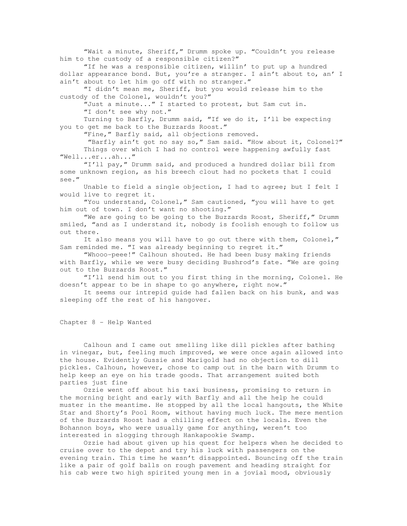"Wait a minute, Sheriff," Drumm spoke up. "Couldn't you release him to the custody of a responsible citizen?"

 "If he was a responsible citizen, willin' to put up a hundred dollar appearance bond. But, you're a stranger. I ain't about to, an' I ain't about to let him go off with no stranger."

 "I didn't mean me, Sheriff, but you would release him to the custody of the Colonel, wouldn't you?"

"Just a minute..." I started to protest, but Sam cut in. "I don't see why not."

 Turning to Barfly, Drumm said, "If we do it, I'll be expecting you to get me back to the Buzzards Roost."

"Fine," Barfly said, all objections removed.

 "Barfly ain't got no say so," Sam said. "How about it, Colonel?" Things over which I had no control were happening awfully fast "Well...er...ah..."

 "I'll pay," Drumm said, and produced a hundred dollar bill from some unknown region, as his breech clout had no pockets that I could see."

 Unable to field a single objection, I had to agree; but I felt I would live to regret it.

 "You understand, Colonel," Sam cautioned, "you will have to get him out of town. I don't want no shooting."

 "We are going to be going to the Buzzards Roost, Sheriff," Drumm smiled, "and as I understand it, nobody is foolish enough to follow us out there.

 It also means you will have to go out there with them, Colonel," Sam reminded me. "I was already beginning to regret it."

 "Whooo-peee!" Calhoun shouted. He had been busy making friends with Barfly, while we were busy deciding Bushrod's fate. "We are going out to the Buzzards Roost."

 "I'll send him out to you first thing in the morning, Colonel. He doesn't appear to be in shape to go anywhere, right now."

 It seems our intrepid guide had fallen back on his bunk, and was sleeping off the rest of his hangover.

Chapter 8 - Help Wanted

 Calhoun and I came out smelling like dill pickles after bathing in vinegar, but, feeling much improved, we were once again allowed into the house. Evidently Gussie and Marigold had no objection to dill pickles. Calhoun, however, chose to camp out in the barn with Drumm to help keep an eye on his trade goods. That arrangement suited both parties just fine

 Ozzie went off about his taxi business, promising to return in the morning bright and early with Barfly and all the help he could muster in the meantime. He stopped by all the local hangouts, the White Star and Shorty's Pool Room, without having much luck. The mere mention of the Buzzards Roost had a chilling effect on the locals. Even the Bohannon boys, who were usually game for anything, weren't too interested in slogging through Hankapookie Swamp.

 Ozzie had about given up his quest for helpers when he decided to cruise over to the depot and try his luck with passengers on the evening train. This time he wasn't disappointed. Bouncing off the train like a pair of golf balls on rough pavement and heading straight for his cab were two high spirited young men in a jovial mood, obviously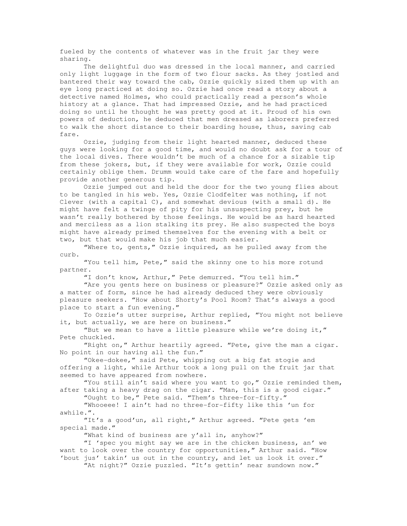fueled by the contents of whatever was in the fruit jar they were sharing.

 The delightful duo was dressed in the local manner, and carried only light luggage in the form of two flour sacks. As they jostled and bantered their way toward the cab, Ozzie quickly sized them up with an eye long practiced at doing so. Ozzie had once read a story about a detective named Holmes, who could practically read a person's whole history at a glance. That had impressed Ozzie, and he had practiced doing so until he thought he was pretty good at it. Proud of his own powers of deduction, he deduced that men dressed as laborers preferred to walk the short distance to their boarding house, thus, saving cab fare.

Ozzie, judging from their light hearted manner, deduced these guys were looking for a good time, and would no doubt ask for a tour of the local dives. There wouldn't be much of a chance for a sizable tip from these jokers, but, if they were available for work, Ozzie could certainly oblige them. Drumm would take care of the fare and hopefully provide another generous tip.

 Ozzie jumped out and held the door for the two young flies about to be tangled in his web. Yes, Ozzie Clodfelter was nothing, if not Clever (with a capital C), and somewhat devious (with a small d). He might have felt a twinge of pity for his unsuspecting prey, but he wasn't really bothered by those feelings. He would be as hard hearted and merciless as a lion stalking its prey. He also suspected the boys might have already primed themselves for the evening with a belt or two, but that would make his job that much easier.

 "Where to, gents," Ozzie inquired, as he pulled away from the curb.

 "You tell him, Pete," said the skinny one to his more rotund partner.

"I don't know, Arthur," Pete demurred. "You tell him."

 "Are you gents here on business or pleasure?" Ozzie asked only as a matter of form, since he had already deduced they were obviously pleasure seekers. "How about Shorty's Pool Room? That's always a good place to start a fun evening."

 To Ozzie's utter surprise, Arthur replied, "You might not believe it, but actually, we are here on business."

 "But we mean to have a little pleasure while we're doing it," Pete chuckled.

 "Right on," Arthur heartily agreed. "Pete, give the man a cigar. No point in our having all the fun."

 "Okee-dokee," said Pete, whipping out a big fat stogie and offering a light, while Arthur took a long pull on the fruit jar that seemed to have appeared from nowhere.

 "You still ain't said where you want to go," Ozzie reminded them, after taking a heavy drag on the cigar. "Man, this is a good cigar."

"Ought to be," Pete said. "Them's three-for-fifty."

 "Whooeee! I ain't had no three-for-fifty like this 'un for awhile.".

 "It's a good'un, all right," Arthur agreed. "Pete gets 'em special made."

"What kind of business are y'all in, anyhow?"

 "I 'spec you might say we are in the chicken business, an' we want to look over the country for opportunities," Arthur said. "How 'bout jus' takin' us out in the country, and let us look it over."

"At night?" Ozzie puzzled. "It's gettin' near sundown now."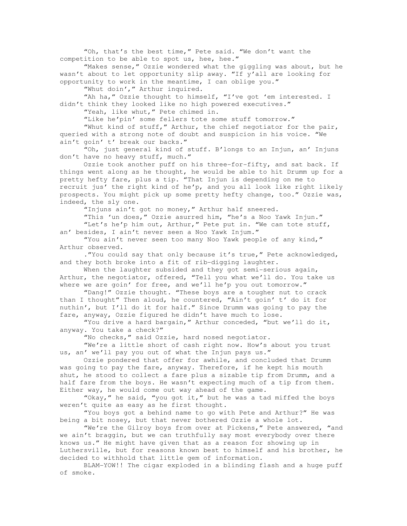"Oh, that's the best time," Pete said. "We don't want the competition to be able to spot us, hee, hee."

 "Makes sense," Ozzie wondered what the giggling was about, but he wasn't about to let opportunity slip away. "If y'all are looking for opportunity to work in the meantime, I can oblige you."

"Whut doin'," Arthur inquired.

 "Ah ha," Ozzie thought to himself, "I've got 'em interested. I didn't think they looked like no high powered executives."

"Yeah, like whut," Pete chimed in.

"Like he'pin' some fellers tote some stuff tomorrow."

 "Whut kind of stuff," Arthur, the chief negotiator for the pair, queried with a strong note of doubt and suspicion in his voice. "We ain't goin' t' break our backs."

 "Oh, just general kind of stuff. B'longs to an Injun, an' Injuns don't have no heavy stuff, much."

 Ozzie took another puff on his three-for-fifty, and sat back. If things went along as he thought, he would be able to hit Drumm up for a pretty hefty fare, plus a tip. "That Injun is depending on me to recruit jus' the right kind of he'p, and you all look like right likely prospects. You might pick up some pretty hefty change, too." Ozzie was, indeed, the sly one.

"Injuns ain't got no money," Arthur half sneered.

 "This 'un does," Ozzie asurred him, "he's a Noo Yawk Injun." "Let's he'p him out, Arthur," Pete put in. "We can tote stuff, an' besides, I ain't never seen a Noo Yawk Injum."

 "You ain't never seen too many Noo Yawk people of any kind," Arthur observed.

 ."You could say that only because it's true," Pete acknowledged, and they both broke into a fit of rib-digging laughter.

When the laughter subsided and they got semi-serious again, Arthur, the negotiator, offered, "Tell you what we'll do. You take us where we are goin' for free, and we'll he'p you out tomorrow."

 "Dang!" Ozzie thought. "These boys are a tougher nut to crack than I thought" Then aloud, he countered, "Ain't goin' t' do it for nuthin', but I'll do it for half." Since Drumm was going to pay the fare, anyway, Ozzie figured he didn't have much to lose.

 "You drive a hard bargain," Arthur conceded, "but we'll do it, anyway. You take a check?"

"No checks," said Ozzie, hard nosed negotiator.

 "We're a little short of cash right now. How's about you trust us, an' we'll pay you out of what the Injun pays us."

 Ozzie pondered that offer for awhile, and concluded that Drumm was going to pay the fare, anyway. Therefore, if he kept his mouth shut, he stood to collect a fare plus a sizable tip from Drumm, and a half fare from the boys. He wasn't expecting much of a tip from them. Either way, he would come out way ahead of the game.

 "Okay," he said, "you got it," but he was a tad miffed the boys weren't quite as easy as he first thought.

 "You boys got a behind name to go with Pete and Arthur?" He was being a bit nosey, but that never bothered Ozzie a whole lot.

"We're the Gilroy boys from over at Pickens," Pete answered, "and we ain't braggin, but we can truthfully say most everybody over there knows us." He might have given that as a reason for showing up in Luthersville, but for reasons known best to himself and his brother, he decided to withhold that little gem of information.

 BLAM-YOW!! The cigar exploded in a blinding flash and a huge puff of smoke.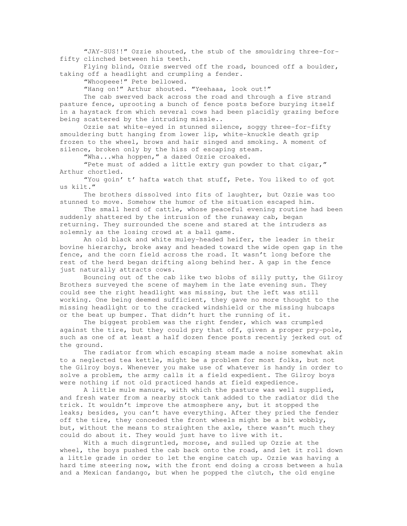"JAY-SUS!!" Ozzie shouted, the stub of the smouldring three-forfifty clinched between his teeth.

 Flying blind, Ozzie swerved off the road, bounced off a boulder, taking off a headlight and crumpling a fender.

"Whoopeee!" Pete bellowed.

"Hang on!" Arthur shouted. "Yeehaaa, look out!"

 The cab swerved back across the road and through a five strand pasture fence, uprooting a bunch of fence posts before burying itself in a haystack from which several cows had been placidly grazing before being scattered by the intruding missle..

Ozzie sat white-eyed in stunned silence, soggy three-for-fifty smouldering butt hanging from lower lip, white-knuckle death grip frozen to the wheel, brows and hair singed and smoking. A moment of silence, broken only by the hiss of escaping steam.

"Wha...wha hoppen," a dazed Ozzie croaked.

 "Pete must of added a little extry gun powder to that cigar," Arthur chortled.

 "You goin' t' hafta watch that stuff, Pete. You liked to of got us kilt."

 The brothers dissolved into fits of laughter, but Ozzie was too stunned to move. Somehow the humor of the situation escaped him.

 The small herd of cattle, whose peaceful evening routine had been suddenly shattered by the intrusion of the runaway cab, began returning. They surrounded the scene and stared at the intruders as solemnly as the losing crowd at a ball game.

 An old black and white muley-headed heifer, the leader in their bovine hierarchy, broke away and headed toward the wide open gap in the fence, and the corn field across the road. It wasn't long before the rest of the herd began drifting along behind her. A gap in the fence just naturally attracts cows.

 Bouncing out of the cab like two blobs of silly putty, the Gilroy Brothers surveyed the scene of mayhem in the late evening sun. They could see the right headlight was missing, but the left was still working. One being deemed sufficient, they gave no more thought to the missing headlight or to the cracked windshield or the missing hubcaps or the beat up bumper. That didn't hurt the running of it.

 The biggest problem was the right fender, which was crumpled against the tire, but they could pry that off, given a proper pry-pole, such as one of at least a half dozen fence posts recently jerked out of the ground.

 The radiator from which escaping steam made a noise somewhat akin to a neglected tea kettle, might be a problem for most folks, but not the Gilroy boys. Whenever you make use of whatever is handy in order to solve a problem, the army calls it a field expedient. The Gilroy boys were nothing if not old practiced hands at field expedience.

 A little mule manure, with which the pasture was well supplied, and fresh water from a nearby stock tank added to the radiator did the trick. It wouldn't improve the atmosphere any, but it stopped the leaks; besides, you can't have everything. After they pried the fender off the tire, they conceded the front wheels might be a bit wobbly, but, without the means to straighten the axle, there wasn't much they could do about it. They would just have to live with it.

 With a much disgruntled, morose, and sulled up Ozzie at the wheel, the boys pushed the cab back onto the road, and let it roll down a little grade in order to let the engine catch up. Ozzie was having a hard time steering now, with the front end doing a cross between a hula and a Mexican fandango, but when he popped the clutch, the old engine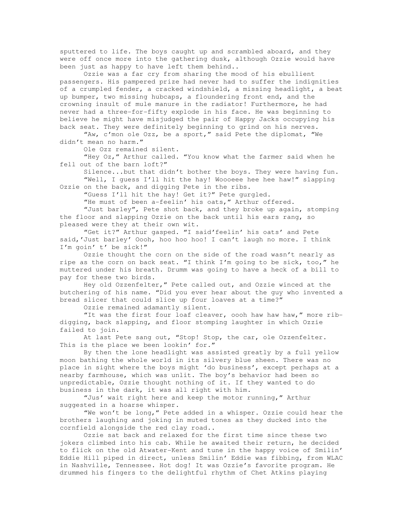sputtered to life. The boys caught up and scrambled aboard, and they were off once more into the gathering dusk, although Ozzie would have been just as happy to have left them behind..

 Ozzie was a far cry from sharing the mood of his ebullient passengers. His pampered prize had never had to suffer the indignities of a crumpled fender, a cracked windshield, a missing headlight, a beat up bumper, two missing hubcaps, a floundering front end, and the crowning insult of mule manure in the radiator! Furthermore, he had never had a three-for-fifty explode in his face. He was beginning to believe he might have misjudged the pair of Happy Jacks occupying his back seat. They were definitely beginning to grind on his nerves.

 "Aw, c'mon ole Ozz, be a sport," said Pete the diplomat, "We didn't mean no harm."

Ole Ozz remained silent.

 "Hey Oz," Arthur called. "You know what the farmer said when he fell out of the barn loft?"

 Silence...but that didn't bother the boys. They were having fun. "Well, I guess I'll hit the hay! Woooeee hee hee haw!" slapping

Ozzie on the back, and digging Pete in the ribs.

 "Guess I'll hit the hay! Get it?" Pete gurgled. "He must of been a-feelin' his oats," Arthur offered.

 "Just barley", Pete shot back, and they broke up again, stomping the floor and slapping Ozzie on the back until his ears rang, so pleased were they at their own wit.

 "Get it?" Arthur gasped. "I said'feelin' his oats' and Pete said,'Just barley' Oooh, hoo hoo hoo! I can't laugh no more. I think I'm goin' t' be sick!"

 Ozzie thought the corn on the side of the road wasn't nearly as ripe as the corn on back seat. "I think I'm going to be sick, too," he muttered under his breath. Drumm was going to have a heck of a bill to pay for these two birds.

Hey old Ozzenfelter," Pete called out, and Ozzie winced at the butchering of his name. "Did you ever hear about the guy who invented a bread slicer that could slice up four loaves at a time?"

Ozzie remained adamantly silent.

 "It was the first four loaf cleaver, oooh haw haw haw," more ribdigging, back slapping, and floor stomping laughter in which Ozzie failed to join.

At last Pete sang out, "Stop! Stop, the car, ole Ozzenfelter. This is the place we been lookin' for."

 By then the lone headlight was assisted greatly by a full yellow moon bathing the whole world in its silvery blue sheen. There was no place in sight where the boys might 'do business', except perhaps at a nearby farmhouse, which was unlit. The boy's behavior had been so unpredictable, Ozzie thought nothing of it. If they wanted to do business in the dark, it was all right with him.

 "Jus' wait right here and keep the motor running," Arthur suggested in a hoarse whisper.

 "We won't be long," Pete added in a whisper. Ozzie could hear the brothers laughing and joking in muted tones as they ducked into the cornfield alongside the red clay road..

 Ozzie sat back and relaxed for the first time since these two jokers climbed into his cab. While he awaited their return, he decided to flick on the old Atwater-Kent and tune in the happy voice of Smilin' Eddie Hill piped in direct, unless Smilin' Eddie was fibbing, from WLAC in Nashville, Tennessee. Hot dog! It was Ozzie's favorite program. He drummed his fingers to the delightful rhythm of Chet Atkins playing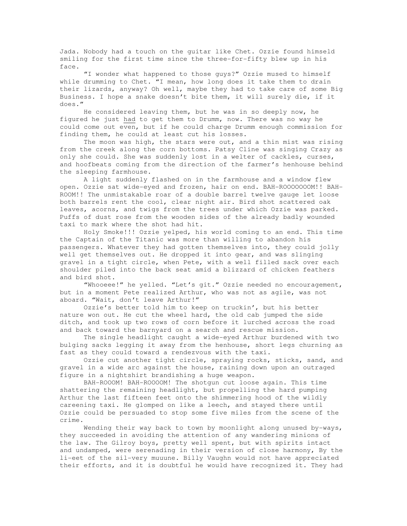Jada. Nobody had a touch on the guitar like Chet. Ozzie found himseld smiling for the first time since the three-for-fifty blew up in his face.

 "I wonder what happened to those guys?" Ozzie mused to himself while drumming to Chet. "I mean, how long does it take them to drain their lizards, anyway? Oh well, maybe they had to take care of some Big Business. I hope a snake doesn't bite them, it will surely die, if it does."

 He considered leaving them, but he was in so deeply now, he figured he just had to get them to Drumm, now. There was no way he could come out even, but if he could charge Drumm enough commission for finding them, he could at least cut his losses.

 The moon was high, the stars were out, and a thin mist was rising from the creek along the corn bottoms. Patsy Cline was singing Crazy as only she could. She was suddenly lost in a welter of cackles, curses, and hoofbeats coming from the direction of the farmer's henhouse behind the sleeping farmhouse.

 A light suddenly flashed on in the farmhouse and a window flew open. Ozzie sat wide-eyed and frozen, hair on end. BAH-ROOOOOOOM!! BAH-ROOM!! The unmistakable roar of a double barrel twelve gauge let loose both barrels rent the cool, clear night air. Bird shot scattered oak leaves, acorns, and twigs from the trees under which Ozzie was parked. Puffs of dust rose from the wooden sides of the already badly wounded taxi to mark where the shot had hit.

 Holy Smoke!!! Ozzie yelped, his world coming to an end. This time the Captain of the Titanic was more than willing to abandon his passengers. Whatever they had gotten themselves into, they could jolly well get themselves out. He dropped it into gear, and was slinging gravel in a tight circle, when Pete, with a well filled sack over each shoulder piled into the back seat amid a blizzard of chicken feathers and bird shot.

 "Whooeee!" he yelled. "Let's git." Ozzie needed no encouragement, but in a moment Pete realized Arthur, who was not as agile, was not aboard. "Wait, don't leave Arthur!"

 Ozzie's better told him to keep on truckin', but his better nature won out. He cut the wheel hard, the old cab jumped the side ditch, and took up two rows of corn before it lurched across the road and back toward the barnyard on a search and rescue mission.

 The single headlight caught a wide-eyed Arthur burdened with two bulging sacks legging it away from the henhouse, short legs churning as fast as they could toward a rendezvous with the taxi.

 Ozzie cut another tight circle, spraying rocks, sticks, sand, and gravel in a wide arc against the house, raining down upon an outraged figure in a nightshirt brandishing a huge weapon.

 BAH-ROOOM! BAH-ROOOOM! The shotgun cut loose again. This time shattering the remaining headlight, but propelling the hard pumping Arthur the last fifteen feet onto the shimmering hood of the wildly careening taxi. He glomped on like a leech, and stayed there until Ozzie could be persuaded to stop some five miles from the scene of the crime.

 Wending their way back to town by moonlight along unused by-ways, they succeeded in avoiding the attention of any wandering minions of the law. The Gilroy boys, pretty well spent, but with spirits intact and undamped, were serenading in their version of close harmony, By the li-eet of the sil-very muuune. Billy Vaughn would not have appreciated their efforts, and it is doubtful he would have recognized it. They had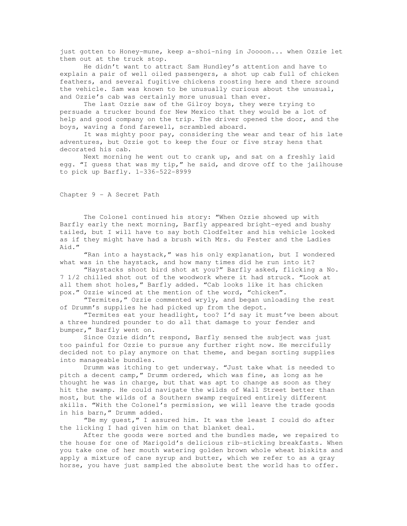just gotten to Honey-mune, keep a-shoi-ning in Joooon... when Ozzie let them out at the truck stop.

 He didn't want to attract Sam Hundley's attention and have to explain a pair of well oiled passengers, a shot up cab full of chicken feathers, and several fugitive chickens roosting here and there sround the vehicle. Sam was known to be unusually curious about the unusual, and Ozzie's cab was certainly more unusual than ever.

 The last Ozzie saw of the Gilroy boys, they were trying to persuade a trucker bound for New Mexico that they would be a lot of help and good company on the trip. The driver opened the door, and the boys, waving a fond farewell, scrambled aboard.

 It was mighty poor pay, considering the wear and tear of his late adventures, but Ozzie got to keep the four or five stray hens that decorated his cab.

 Next morning he went out to crank up, and sat on a freshly laid egg. "I guess that was my tip," he said, and drove off to the jailhouse to pick up Barfly. 1-336-522-8999

Chapter 9 - A Secret Path

 The Colonel continued his story: "When Ozzie showed up with Barfly early the next morning, Barfly appeared bright-eyed and bushy tailed, but I will have to say both Clodfelter and his vehicle looked as if they might have had a brush with Mrs. du Fester and the Ladies Aid."

 "Ran into a haystack," was his only explanation, but I wondered what was in the haystack, and how many times did he run into it?

 "Haystacks shoot bird shot at you?" Barfly asked, flicking a No. 7 1/2 chilled shot out of the woodwork where it had struck. "Look at all them shot holes," Barfly added. "Cab looks like it has chicken pox." Ozzie winced at the mention of the word, "chicken".

 "Termites," Ozzie commented wryly, and began unloading the rest of Drumm's supplies he had picked up from the depot.

 "Termites eat your headlight, too? I'd say it must've been about a three hundred pounder to do all that damage to your fender and bumper," Barfly went on.

 Since Ozzie didn't respond, Barfly sensed the subject was just too painful for Ozzie to pursue any further right now. He mercifully decided not to play anymore on that theme, and began sorting supplies into manageable bundles.

 Drumm was itching to get underway. "Just take what is needed to pitch a decent camp," Drumm ordered, which was fine, as long as he thought he was in charge, but that was apt to change as soon as they hit the swamp. He could navigate the wilds of Wall Street better than most, but the wilds of a Southern swamp required entirely different skills. "With the Colonel's permission, we will leave the trade goods in his barn," Drumm added.

 "Be my guest," I assured him. It was the least I could do after the licking I had given him on that blanket deal.

 After the goods were sorted and the bundles made, we repaired to the house for one of Marigold's delicious rib-sticking breakfasts. When you take one of her mouth watering golden brown whole wheat biskits and apply a mixture of cane syrup and butter, which we refer to as a gray horse, you have just sampled the absolute best the world has to offer.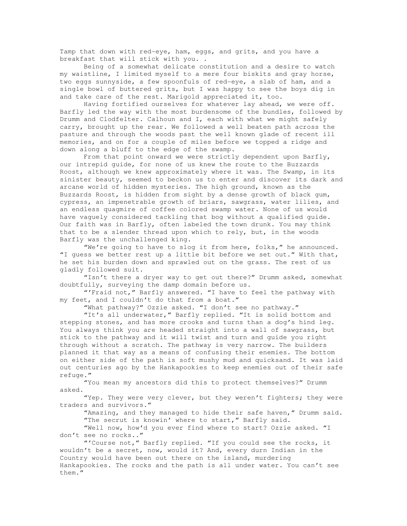Tamp that down with red-eye, ham, eggs, and grits, and you have a breakfast that will stick with you. .

 Being of a somewhat delicate constitution and a desire to watch my waistline, I limited myself to a mere four biskits and gray horse, two eggs sunnyside, a few spoonfuls of red-eye, a slab of ham, and a single bowl of buttered grits, but I was happy to see the boys dig in and take care of the rest. Marigold appreciated it, too.

 Having fortified ourselves for whatever lay ahead, we were off. Barfly led the way with the most burdensome of the bundles, followed by Drumm and Clodfelter. Calhoun and I, each with what we might safely carry, brought up the rear. We followed a well beaten path across the pasture and through the woods past the well known glade of recent ill memories, and on for a couple of miles before we topped a ridge and down along a bluff to the edge of the swamp.

From that point onward we were strictly dependent upon Barfly, our intrepid guide, for none of us knew the route to the Buzzards Roost, although we knew approximately where it was. The Swamp, in its sinister beauty, seemed to beckon us to enter and discover its dark and arcane world of hidden mysteries. The high ground, known as the Buzzards Roost, is hidden from sight by a dense growth of black gum, cypress, an impenetrable growth of briars, sawgrass, water lilies, and an endless quagmire of coffee colored swamp water. None of us would have vaguely considered tackling that bog without a qualified guide. Our faith was in Barfly, often labeled the town drunk. You may think that to be a slender thread upon which to rely, but, in the woods Barfly was the unchallenged king.

 "We're going to have to slog it from here, folks," he announced. "I guess we better rest up a little bit before we set out." With that, he set his burden down and sprawled out on the grass. The rest of us gladly followed suit.

 "Isn't there a dryer way to get out there?" Drumm asked, somewhat doubtfully, surveying the damp domain before us.

 "'Fraid not," Barfly answered. "I have to feel the pathway with my feet, and I couldn't do that from a boat."

"What pathway?" Ozzie asked. "I don't see no pathway."

 "It's all underwater," Barfly replied. "It is solid bottom and stepping stones, and has more crooks and turns than a dog's hind leg. You always think you are headed straight into a wall of sawgrass, but stick to the pathway and it will twist and turn and guide you right through without a scratch. The pathway is very narrow. The builders planned it that way as a means of confusing their enemies. The bottom on either side of the path is soft mushy mud and quicksand. It was laid out centuries ago by the Hankapookies to keep enemies out of their safe refuge."

 "You mean my ancestors did this to protect themselves?" Drumm asked.

"Yep. They were very clever, but they weren't fighters; they were traders and survivors."

 "Amazing, and they managed to hide their safe haven," Drumm said. "The secrut is knowin' where to start," Barfly said.

 "Well now, how'd you ever find where to start? Ozzie asked. "I don't see no rocks.."

 "'Course not," Barfly replied. "If you could see the rocks, it wouldn't be a secret, now, would it? And, every durn Indian in the Country would have been out there on the island, murdering Hankapookies. The rocks and the path is all under water. You can't see them."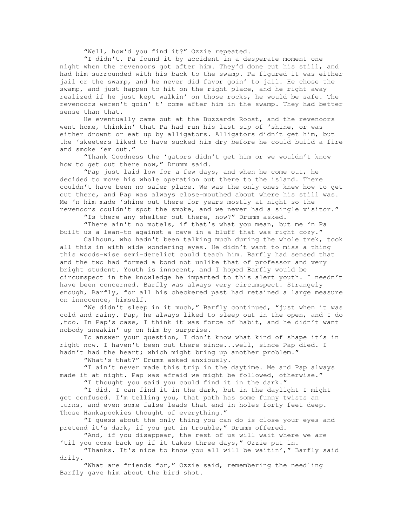"Well, how'd you find it?" Ozzie repeated.

 "I didn't. Pa found it by accident in a desperate moment one night when the revenoors got after him. They'd done cut his still, and had him surrounded with his back to the swamp. Pa figured it was either jail or the swamp, and he never did favor goin' to jail. He chose the swamp, and just happen to hit on the right place, and he right away realized if he just kept walkin' on those rocks, he would be safe. The revenoors weren't goin' t' come after him in the swamp. They had better sense than that.

 He eventually came out at the Buzzards Roost, and the revenoors went home, thinkin' that Pa had run his last sip of 'shine, or was either drownt or eat up by alligators. Alligators didn't get him, but the 'skeeters liked to have sucked him dry before he could build a fire and smoke 'em out."

 "Thank Goodness the 'gators didn't get him or we wouldn't know how to get out there now," Drumm said.

 "Pap just laid low for a few days, and when he come out, he decided to move his whole operation out there to the island. There couldn't have been no safer place. We was the only ones knew how to get out there, and Pap was always close-mouthed about where his still was. Me 'n him made 'shine out there for years mostly at night so the revenoors couldn't spot the smoke, and we never had a single visitor."

"Is there any shelter out there, now?" Drumm asked.

 "There ain't no motels, if that's what you mean, but me 'n Pa built us a lean-to against a cave in a bluff that was right cozy."

 Calhoun, who hadn't been talking much during the whole trek, took all this in with wide wondering eyes. He didn't want to miss a thing this woods-wise semi-derelict could teach him. Barfly had sensed that and the two had formed a bond not unlike that of professor and very bright student. Youth is innocent, and I hoped Barfly would be circumspect in the knowledge he imparted to this alert youth. I needn't have been concerned. Barfly was always very circumspect. Strangely enough, Barfly, for all his checkered past had retained a large measure on innocence, himself.

 "We didn't sleep in it much," Barfly continued, "just when it was cold and rainy. Pap, he always liked to sleep out in the open, and I do ,too. In Pap's case, I think it was force of habit, and he didn't want nobody sneakin' up on him by surprise.

 To answer your question, I don't know what kind of shape it's in right now. I haven't been out there since...well, since Pap died. I hadn't had the heart; which might bring up another problem."

"What's that?" Drumm asked anxiously.

 "I ain't never made this trip in the daytime. Me and Pap always made it at night. Pap was afraid we might be followed, otherwise." "I thought you said you could find it in the dark."

 "I did. I can find it in the dark, but in the daylight I might get confused. I'm telling you, that path has some funny twists an turns, and even some false leads that end in holes forty feet deep. Those Hankapookies thought of everything."

 "I guess about the only thing you can do is close your eyes and pretend it's dark, if you get in trouble," Drumm offered.

"And, if you disappear, the rest of us will wait where we are 'til you come back up if it takes three days," Ozzie put in.

 "Thanks. It's nice to know you all will be waitin'," Barfly said drily.

 "What are friends for," Ozzie said, remembering the needling Barfly gave him about the bird shot.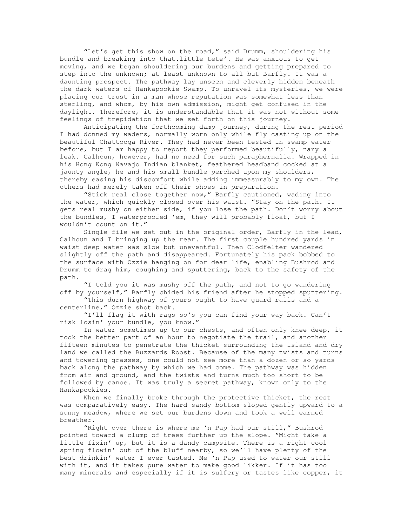"Let's get this show on the road," said Drumm, shouldering his bundle and breaking into that.little tete'. He was anxious to get moving, and we began shouldering our burdens and getting prepared to step into the unknown; at least unknown to all but Barfly. It was a daunting prospect. The pathway lay unseen and cleverly hidden beneath the dark waters of Hankapookie Swamp. To unravel its mysteries, we were placing our trust in a man whose reputation was somewhat less than sterling, and whom, by his own admission, might get confused in the daylight. Therefore, it is understandable that it was not without some feelings of trepidation that we set forth on this journey.

 Anticipating the forthcoming damp journey, during the rest period I had donned my waders, normally worn only while fly casting up on the beautiful Chattooga River. They had never been tested in swamp water before, but I am happy to report they performed beautifully, nary a leak. Calhoun, however, had no need for such paraphernalia. Wrapped in his Hong Kong Navajo Indian blanket, feathered headband cocked at a jaunty angle, he and his small bundle perched upon my shoulders, thereby easing his discomfort while adding immeasurably to my own. The others had merely taken off their shoes in preparation.

 "Stick real close together now," Barfly cautioned, wading into the water, which quickly closed over his waist. "Stay on the path. It gets real mushy on either side, if you lose the path. Don't worry about the bundles, I waterproofed 'em, they will probably float, but I wouldn't count on it."

 Single file we set out in the original order, Barfly in the lead, Calhoun and I bringing up the rear. The first couple hundred yards in waist deep water was slow but uneventful. Then Clodfelter wandered slightly off the path and disappeared. Fortunately his pack bobbed to the surface with Ozzie hanging on for dear life, enabling Bushrod and Drumm to drag him, coughing and sputtering, back to the safety of the path.

 "I told you it was mushy off the path, and not to go wandering off by yourself," Barfly chided his friend after he stopped sputtering.

 "This durn highway of yours ought to have guard rails and a centerline," Ozzie shot back.

 "I'll flag it with rags so's you can find your way back. Can't risk losin' your bundle, you know."

 In water sometimes up to our chests, and often only knee deep, it took the better part of an hour to negotiate the trail, and another fifteen minutes to penetrate the thicket surrounding the island and dry land we called the Buzzards Roost. Because of the many twists and turns and towering grasses, one could not see more than a dozen or so yards back along the pathway by which we had come. The pathway was hidden from air and ground, and the twists and turns much too short to be followed by canoe. It was truly a secret pathway, known only to the Hankapookies.

 When we finally broke through the protective thicket, the rest was comparatively easy. The hard sandy bottom sloped gently upward to a sunny meadow, where we set our burdens down and took a well earned breather.

 "Right over there is where me 'n Pap had our still," Bushrod pointed toward a clump of trees further up the slope. "Might take a little fixin' up, but it is a dandy campsite. There is a right cool spring flowin' out of the bluff nearby, so we'll have plenty of the best drinkin' water I ever tasted. Me 'n Pap used to water our still with it, and it takes pure water to make good likker. If it has too many minerals and especially if it is sulfery or tastes like copper, it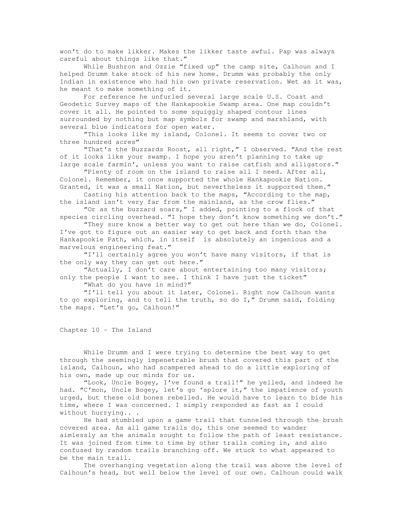won't do to make likker. Makes the likker taste awful. Pap was always careful about things like that."

While Bushron and Ozzie "fixed up" the camp site, Calhoun and I helped Drumm take stock of his new home. Drumm was probably the only Indian in existence who had his own private reservation. Wet as it was, he meant to make something of it.

 For reference he unfurled several large scale U.S. Coast and Geodetic Survey maps of the Hankapookie Swamp area. One map couldn't cover it all. He pointed to some squiggly shaped contour lines surrounded by nothing but map symbols for swamp and marshland, with several blue indicators for open water.

 "This looks like my island, Colonel. It seems to cover two or three hundred acres"

 "That's the Buzzards Roost, all right," I observed. "And the rest of it looks like your swamp. I hope you aren't planning to take up large scale farmin', unless you want to raise catfish and alligators."

 "Plenty of room on the island to raise all I need. After all, Colonel. Remember, it once supported the whole Hankapookie Nation. Granted, it was a small Nation, but nevertheless it supported them."

 Casting his attention back to the maps, "According to the map, the island isn't very far from the mainland, as the crow flies."

"Or as the buzzard soars," I added, pointing to a flock of that

species circling overhead. "I hope they don't know something we don't." "They sure know a better way to get out here than we do, Colonel.

I've got to figure out an easier way to get back and forth than the Hankapookie Path, which, in itself is absolutely an ingenious and a marvelous engineering feat."

 "I'll certainly agree you won't have many visitors, if that is the only way they can get out here."

 "Actually, I don't care about entertaining too many visitors; only the people I want to see. I think I have just the ticket"

"What do you have in mind?"

 "I'll tell you about it later, Colonel. Right now Calhoun wants to go exploring, and to tell the truth, so do I," Drumm said, folding the maps. "Let's go, Calhoun!"

Chapter 10 - The Island

 While Drumm and I were trying to determine the best way to get through the seemingly impenetrable brush that covered this part of the island, Calhoun, who had scampered ahead to do a little exploring of his own, made up our minds for us.

 "Look, Uncle Bogey, I've found a trail!" he yelled, and indeed he had. "C'mon, Uncle Bogey, let's go 'splore it," the impatience of youth urged, but these old bones rebelled. He would have to learn to bide his time, where I was concerned. I simply responded as fast as I could without hurrying.. .

 He had stumbled upon a game trail that tunneled through the brush covered area. As all game trails do, this one seemed to wander aimlessly as the animals sought to follow the path of least resistance. It was joined from time to time by other trails coming in, and also confused by random trails branching off. We stuck to what appeared to be the main trail.

 The overhanging vegetation along the trail was above the level of Calhoun's head, but well below the level of our own. Calhoun could walk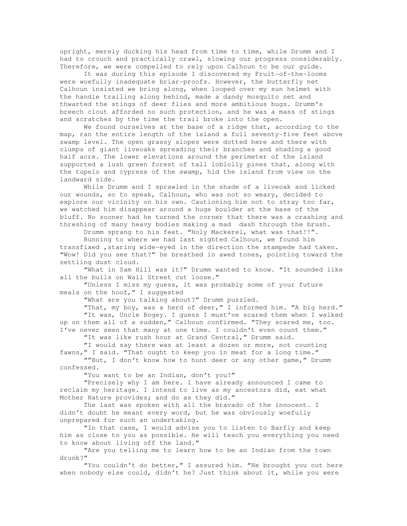upright, merely ducking his head from time to time, while Drumm and I had to crouch and practically crawl, slowing our progress considerably. Therefore, we were compelled to rely upon Calhoun to be our guide.

 It was during this episode I discovered my Fruit-of-the-looms were woefully inadequate briar-proofs. However, the butterfly net Calhoun insisted we bring along, when looped over my sun helmet with the handle trailing along behind, made a dandy mosquito net and thwarted the stings of deer flies and more ambitious bugs. Drumm's breech clout afforded no such protection, and he was a mass of stings and scratches by the time the trail broke into the open.

 We found ourselves at the base of a ridge that, according to the map, ran the entire length of the island a full seventy-five feet above swamp level. The open grassy slopes were dotted here and there with clumps of giant liveoaks spreading their branches and shading a good half acre. The lower elevations around the perimeter of the island supported a lush green forest of tall loblolly pines that, along with the tupelo and cypress of the swamp, hid the island from view on the landward side.

 While Drumm and I sprawled in the shade of a liveoak and licked our wounds, so to speak, Calhoun, who was not so weary, decided to explore our vicinity on his own. Cautioning him not to stray too far, we watched him disappear around a huge boulder at the base of the bluff. No sooner had he turned the corner that there was a crashing and threshing of many heavy bodies making a mad dash through the brush.

Drumm sprang to his feet. "Holy Mackerel, what was that!!".

 Running to where we had last sighted Calhoun, we found him transfixed ,staring wide-eyed in the direction the stampede had taken. "Wow! Did you see that?" he breathed in awed tones, pointing toward the settling dust cloud.

 "What in Sam Hill was it?" Drumm wanted to know. "It sounded like all the bulls on Wall Street cut loose."

 "Unless I miss my guess, it was probably some of your future meals on the hoof," I suggested

"What are you talking about?" Drumm puzzled.

 "That, my boy, was a herd of deer," I informed him. "A big herd." "It was, Uncle Bogey. I guess I must've scared them when I walked up on them all of a sudden," Calhoun confirmed. "They scared me, too. I've never seen that many at one time. I couldn't even count them."

"It was like rush hour at Grand Central," Drumm said.

 "I would say there was at least a dozen or more, not counting fawns," I said. "That ought to keep you in meat for a long time."

""But, I don't know how to hunt deer or any other game," Drumm confessed.

"You want to be an Indian, don't you?"

 "Precisely why I am here. I have already announced I came to reclaim my heritage. I intend to live as my ancestors did, eat what Mother Nature provides; and do as they did."

 The last was spoken with all the bravado of the innocent. I didn't doubt he meant every word, but he was obviously woefully unprepared for such an undertaking.

 "In that case, I would advise you to listen to Barfly and keep him as close to you as possible. He will teach you everything you need to know about living off the land."

 "Are you telling me to learn how to be an Indian from the town drunk?"

 "You couldn't do better," I assured him. "He brought you out here when nobody else could, didn't he? Just think about it, while you were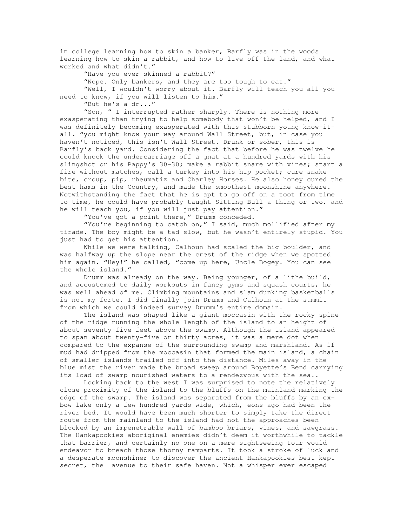in college learning how to skin a banker, Barfly was in the woods learning how to skin a rabbit, and how to live off the land, and what worked and what didn't."

"Have you ever skinned a rabbit?"

"Nope. Only bankers, and they are too tough to eat."

 "Well, I wouldn't worry about it. Barfly will teach you all you need to know, if you will listen to him."

"But he's a dr..."

 "Son, " I interrupted rather sharply. There is nothing more exasperating than trying to help somebody that won't be helped, and I was definitely becoming exasperated with this stubborn young know-itall. "you might know your way around Wall Street, but, in case you haven't noticed, this isn't Wall Street. Drunk or sober, this is Barfly's back yard. Considering the fact that before he was twelve he could knock the undercarriage off a gnat at a hundred yards with his slingshot or his Pappy's 30-30; make a rabbit snare with vines; start a fire without matches, call a turkey into his hip pocket; cure snake bite, croup, pip, rheumatiz and Charley Horses. He also honey cured the best hams in the Country, and made the smoothest moonshine anywhere. Notwithstanding the fact that he is apt to go off on a toot from time to time, he could have probably taught Sitting Bull a thing or two, and he will teach you, if you will just pay attention."

"You've got a point there," Drumm conceded.

 "You're beginning to catch on," I said, much mollified after my tirade. The boy might be a tad slow, but he wasn't entirely stupid. You just had to get his attention.

While we were talking, Calhoun had scaled the big boulder, and was halfway up the slope near the crest of the ridge when we spotted him again. "Hey!" he called, "come up here, Uncle Bogey. You can see the whole island."

 Drumm was already on the way. Being younger, of a lithe build, and accustomed to daily workouts in fancy gyms and squash courts, he was well ahead of me. Climbing mountains and slam dunking basketballs is not my forte. I did finally join Drumm and Calhoun at the summit from which we could indeed survey Drumm's entire domain.

 The island was shaped like a giant moccasin with the rocky spine of the ridge running the whole length of the island to an height of about seventy-five feet above the swamp. Although the island appeared to span about twenty-five or thirty acres, it was a mere dot when compared to the expanse of the surrounding swamp and marshland. As if mud had dripped from the moccasin that formed the main island, a chain of smaller islands trailed off into the distance. Miles away in the blue mist the river made the broad sweep around Boyette's Bend carrying its load of swamp nourished waters to a rendezvous with the sea..

 Looking back to the west I was surprised to note the relatively close proximity of the island to the bluffs on the mainland marking the edge of the swamp. The island was separated from the bluffs by an oxbow lake only a few hundred yards wide, which, eons ago had been the river bed. It would have been much shorter to simply take the direct route from the mainland to the island had not the approaches been blocked by an impenetrable wall of bamboo briars, vines, and sawgrass. The Hankapookies aboriginal enemies didn't deem it worthwhile to tackle that barrier, and certainly no one on a mere sightseeing tour would endeavor to breach those thorny ramparts. It took a stroke of luck and a desperate moonshiner to discover the ancient Hankapookies best kept secret, the avenue to their safe haven. Not a whisper ever escaped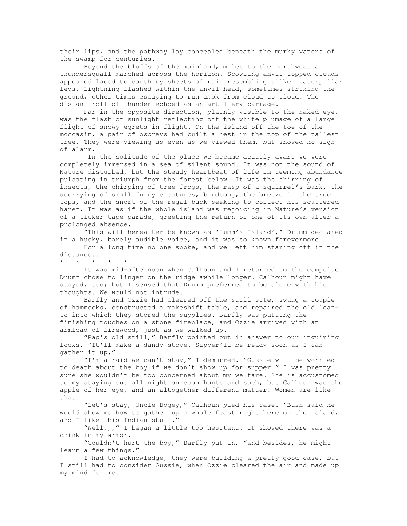their lips, and the pathway lay concealed beneath the murky waters of the swamp for centuries.

 Beyond the bluffs of the mainland, miles to the northwest a thundersquall marched across the horizon. Scowling anvil topped clouds appeared laced to earth by sheets of rain resembling silken caterpillar legs. Lightning flashed within the anvil head, sometimes striking the ground, other times escaping to run amok from cloud to cloud. The distant roll of thunder echoed as an artillery barrage.

 Far in the opposite direction, plainly visible to the naked eye, was the flash of sunlight reflecting off the white plumage of a large flight of snowy egrets in flight. On the island off the toe of the moccasin, a pair of ospreys had built a nest in the top of the tallest tree. They were viewing us even as we viewed them, but showed no sign of alarm.

 In the solitude of the place we became acutely aware we were completely immersed in a sea of silent sound. It was not the sound of Nature disturbed, but the steady heartbeat of life in teeming abundance pulsating in triumph from the forest below. It was the chirring of insects, the chirping of tree frogs, the rasp of a squirrel's bark, the scurrying of small furry creatures, birdsong, the breeze in the tree tops, and the snort of the regal buck seeking to collect his scattered harem. It was as if the whole island was rejoicing in Nature's version of a ticker tape parade, greeting the return of one of its own after a prolonged absence.

 "This will hereafter be known as 'Humm's Island'," Drumm declared in a husky, barely audible voice, and it was so known forevermore.

 For a long time no one spoke, and we left him staring off in the distance..

\* \* \* \* \*

 It was mid-afternoon when Calhoun and I returned to the campsite. Drumm chose to linger on the ridge awhile longer. Calhoun might have stayed, too; but I sensed that Drumm preferred to be alone with his thoughts. We would not intrude.

 Barfly and Ozzie had cleared off the still site, swung a couple of hammocks, constructed a makeshift table, and repaired the old leanto into which they stored the supplies. Barfly was putting the finishing touches on a stone fireplace, and Ozzie arrived with an armload of firewood, just as we walked up.

 "Pap's old still," Barfly pointed out in answer to our inquiring looks. "It'll make a dandy stove. Supper'll be ready soon as I can gather it up."

 "I'm afraid we can't stay," I demurred. "Gussie will be worried to death about the boy if we don't show up for supper." I was pretty sure she wouldn't be too concerned about my welfare. She is accustomed to my staying out all night on coon hunts and such, but Calhoun was the apple of her eye, and an altogether different matter. Women are like that.

 "Let's stay, Uncle Bogey," Calhoun pled his case. "Bush said he would show me how to gather up a whole feast right here on the island, and I like this Indian stuff."

 "Well,,," I began a little too hesitant. It showed there was a chink in my armor.

 "Couldn't hurt the boy," Barfly put in, "and besides, he might learn a few things."

 I had to acknowledge, they were building a pretty good case, but I still had to consider Gussie, when Ozzie cleared the air and made up my mind for me.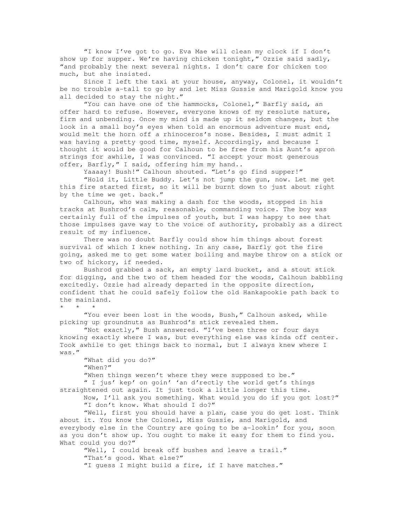"I know I've got to go. Eva Mae will clean my clock if I don't show up for supper. We're having chicken tonight," Ozzie said sadly, "and probably the next several nights. I don't care for chicken too much, but she insisted.

 Since I left the taxi at your house, anyway, Colonel, it wouldn't be no trouble a-tall to go by and let Miss Gussie and Marigold know you all decided to stay the night."

 "You can have one of the hammocks, Colonel," Barfly said, an offer hard to refuse. However, everyone knows of my resolute nature, firm and unbending. Once my mind is made up it seldom changes, but the look in a small boy's eyes when told an enormous adventure must end, would melt the horn off a rhinoceros's nose. Besides, I must admit I was having a pretty good time, myself. Accordingly, and because I thought it would be good for Calhoun to be free from his Aunt's apron strings for awhile, I was convinced. "I accept your most generous offer, Barfly," I said, offering him my hand..

Yaaaay! Bush!" Calhoun shouted. "Let's go find supper!"

 "Hold it, Little Buddy. Let's not jump the gun, now. Let me get this fire started first, so it will be burnt down to just about right by the time we get. back."

 Calhoun, who was making a dash for the woods, stopped in his tracks at Bushrod's calm, reasonable, commanding voice. The boy was certainly full of the impulses of youth, but I was happy to see that those impulses gave way to the voice of authority, probably as a direct result of my influence.

 There was no doubt Barfly could show him things about forest survival of which I knew nothing. In any case, Barfly got the fire going, asked me to get some water boiling and maybe throw on a stick or two of hickory, if needed.

 Bushrod grabbed a sack, an empty lard bucket, and a stout stick for digging, and the two of them headed for the woods, Calhoun babbling excitedly. Ozzie had already departed in the opposite direction, confident that he could safely follow the old Hankapookie path back to the mainland.

\* \* \*

"You ever been lost in the woods, Bush," Calhoun asked, while picking up groundnuts as Bushrod's stick revealed them.

 "Not exactly," Bush answered. "I've been three or four days knowing exactly where I was, but everything else was kinda off center. Took awhile to get things back to normal, but I always knew where I was."

 "What did you do?" "When?"

"When things weren't where they were supposed to be." " I jus' kep' on goin' 'an d'rectly the world get's things straightened out again. It just took a little longer this time.

 Now, I'll ask you something. What would you do if you got lost?" "I don't know. What should I do?"

 "Well, first you should have a plan, case you do get lost. Think about it. You know the Colonel, Miss Gussie, and Marigold, and everybody else in the Country are going to be a-lookin' for you, soon as you don't show up. You ought to make it easy for them to find you. What could you do?"

 "Well, I could break off bushes and leave a trail." "That's good. What else?" "I guess I might build a fire, if I have matches."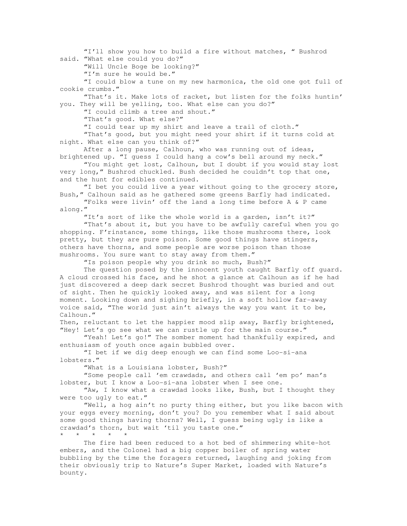"I'll show you how to build a fire without matches, " Bushrod said. "What else could you do?" "Will Uncle Boge be looking?" "I'm sure he would be." "I could blow a tune on my new harmonica, the old one got full of cookie crumbs." "That's it. Make lots of racket, but listen for the folks huntin' you. They will be yelling, too. What else can you do?" "I could climb a tree and shout." "That's good. What else?" "I could tear up my shirt and leave a trail of cloth." "That's good, but you might need your shirt if it turns cold at night. What else can you think of?" After a long pause, Calhoun, who was running out of ideas, brightened up. "I guess I could hang a cow's bell around my neck." "You might get lost, Calhoun, but I doubt if you would stay lost very long," Bushrod chuckled. Bush decided he couldn't top that one, and the hunt for edibles continued. "I bet you could live a year without going to the grocery store, Bush," Calhoun said as he gathered some greens Barfly had indicated. "Folks were livin' off the land a long time before A & P came along." "It's sort of like the whole world is a garden, isn't it?" "That's about it, but you have to be awfully careful when you go shopping. F'rinstance, some things, like those mushrooms there, look pretty, but they are pure poison. Some good things have stingers, others have thorns, and some people are worse poison than those mushrooms. You sure want to stay away from them." "Is poison people why you drink so much, Bush?" The question posed by the innocent youth caught Barfly off guard. A cloud crossed his face, and he shot a glance at Calhoun as if he had just discovered a deep dark secret Bushrod thought was buried and out of sight. Then he quickly looked away, and was silent for a long moment. Looking down and sighing briefly, in a soft hollow far-away voice said, "The world just ain't always the way you want it to be, Calhoun." Then, reluctant to let the happier mood slip away, Barfly brightened, "Hey! Let's go see what we can rustle up for the main course." "Yeah! Let's go!" The somber moment had thankfully expired, and enthusiasm of youth once again bubbled over. "I bet if we dig deep enough we can find some Loo-si-ana lobsters." "What is a Louisiana lobster, Bush?" "Some people call 'em crawdads, and others call 'em po' man's lobster, but I know a Loo-si-ana lobster when I see one. "Aw, I know what a crawdad looks like, Bush, but I thought they were too ugly to eat." "Well, a hog ain't no purty thing either, but you like bacon with your eggs every morning, don't you? Do you remember what I said about some good things having thorns? Well, I guess being ugly is like a crawdad's thorn, but wait 'til you taste one." \* \* \* \* \* The fire had been reduced to a hot bed of shimmering white-hot embers, and the Colonel had a big copper boiler of spring water bubbling by the time the foragers returned, laughing and joking from their obviously trip to Nature's Super Market, loaded with Nature's bounty.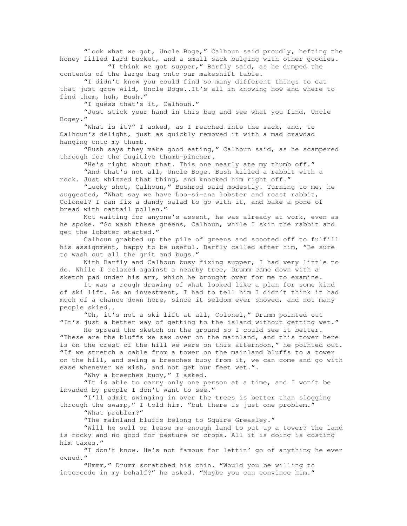"Look what we got, Uncle Boge," Calhoun said proudly, hefting the honey filled lard bucket, and a small sack bulging with other goodies.

 "I think we got supper," Barfly said, as he dumped the contents of the large bag onto our makeshift table.

 "I didn't know you could find so many different things to eat that just grow wild, Uncle Boge..It's all in knowing how and where to find them, huh, Bush."

"I guess that's it, Calhoun."

 "Just stick your hand in this bag and see what you find, Uncle Bogey."

 "What is it?" I asked, as I reached into the sack, and, to Calhoun's delight, just as quickly removed it with a mad crawdad hanging onto my thumb.

 "Bush says they make good eating," Calhoun said, as he scampered through for the fugitive thumb-pincher.

"He's right about that. This one nearly ate my thumb off." "And that's not all, Uncle Boge. Bush killed a rabbit with a

rock. Just whizzed that thing, and knocked him right off."

 "Lucky shot, Calhoun," Bushrod said modestly. Turning to me, he suggested, "What say we have Loo-si-ana lobster and roast rabbit, Colonel? I can fix a dandy salad to go with it, and bake a pone of bread with cattail pollen."

 Not waiting for anyone's assent, he was already at work, even as he spoke. "Go wash these greens, Calhoun, while I skin the rabbit and get the lobster started."

 Calhoun grabbed up the pile of greens and scooted off to fulfill his assignment, happy to be useful. Barfly called after him, "Be sure to wash out all the grit and bugs."

 With Barfly and Calhoun busy fixing supper, I had very little to do. While I relaxed against a nearby tree, Drumm came down with a sketch pad under his arm, which he brought over for me to examine.

 It was a rough drawing of what looked like a plan for some kind of ski lift. As an investment, I had to tell him I didn't think it had much of a chance down here, since it seldom ever snowed, and not many people skied..

 "Oh, it's not a ski lift at all, Colonel," Drumm pointed out "It's just a better way of getting to the island without getting wet."

 He spread the sketch on the ground so I could see it better. "These are the bluffs we saw over on the mainland, and this tower here is on the crest of the hill we were on this afternoon," he pointed out. "If we stretch a cable from a tower on the mainland bluffs to a tower on the hill, and swing a breeches buoy from it, we can come and go with ease whenever we wish, and not get our feet wet.".

"Why a breeches buoy," I asked.

 "It is able to carry only one person at a time, and I won't be invaded by people I don't want to see."

 "I'll admit swinging in over the trees is better than slogging through the swamp," I told him. "but there is just one problem." "What problem?"

"The mainland bluffs belong to Squire Greasley."

 "Will he sell or lease me enough land to put up a tower? The land is rocky and no good for pasture or crops. All it is doing is costing him taxes."

 "I don't know. He's not famous for lettin' go of anything he ever owned."

 "Hmmm," Drumm scratched his chin. "Would you be willing to intercede in my behalf?" he asked. "Maybe you can convince him."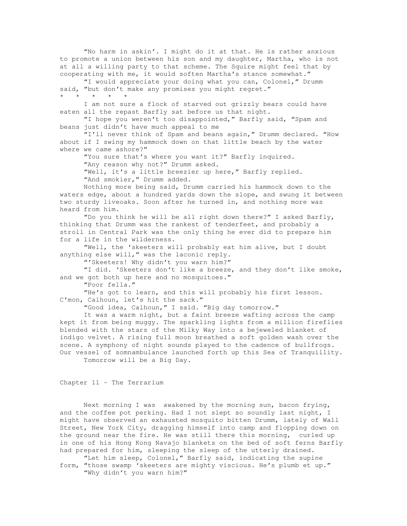"No harm in askin'. I might do it at that. He is rather anxious to promote a union between his son and my daughter, Martha, who is not at all a willing party to that scheme. The Squire might feel that by cooperating with me, it would soften Martha's stance somewhat."

 "I would appreciate your doing what you can, Colonel," Drumm said, "but don't make any promises you might regret." \* \* \* \* \*

 I am not sure a flock of starved out grizzly bears could have eaten all the repast Barfly sat before us that night.

 "I hope you weren't too disappointed," Barfly said, "Spam and beans just didn't have much appeal to me

"I'll never think of Spam and beans again," Drumm declared. "How about if I swing my hammock down on that little beach by the water where we came ashore?"

 "You sure that's where you want it?" Barfly inquired. "Any reason why not?" Drumm asked. "Well, it's a little breezier up here," Barfly replied.

"And smokier, " Drumm added.

 Nothing more being said, Drumm carried his hammock down to the waters edge, about a hundred yards down the slope, and swung it between two sturdy liveoaks. Soon after he turned in, and nothing more was heard from him.

 "Do you think he will be all right down there?" I asked Barfly, thinking that Drumm was the rankest of tenderfeet, and probably a stroll in Central Park was the only thing he ever did to prepare him for a life in the wilderness.

 "Well, the 'skeeters will probably eat him alive, but I doubt anything else will," was the laconic reply.

"'Skeeters! Why didn't you warn him?"

 "I did. 'Skeeters don't like a breeze, and they don't like smoke, and we got both up here and no mosquitoes."

"Poor fella."

 "He's got to learn, and this will probably his first lesson. C'mon, Calhoun, let's hit the sack."

"Good idea, Calhoun," I said. "Big day tomorrow."

It was a warm night, but a faint breeze wafting across the camp kept it from being muggy. The sparkling lights from a million fireflies blended with the stars of the Milky Way into a bejeweled blanket of indigo velvet. A rising full moon breathed a soft golden wash over the scene. A symphony of night sounds played to the cadence of bullfrogs. Our vessel of somnambulance launched forth up this Sea of Tranquillity. Tomorrow will be a Big Day.

Chapter 11 - The Terrarium

 Next morning I was awakened by the morning sun, bacon frying, and the coffee pot perking. Had I not slept so soundly last night, I might have observed an exhausted mosquito bitten Drumm, lately of Wall Street, New York City, dragging himself into camp and flopping down on the ground near the fire. He was still there this morning, curled up in one of his Hong Kong Navajo blankets on the bed of soft ferns Barfly had prepared for him, sleeping the sleep of the utterly drained.

 "Let him sleep, Colonel," Barfly said, indicating the supine form, "those swamp 'skeeters are mighty viscious. He's plumb et up." "Why didn't you warn him?"